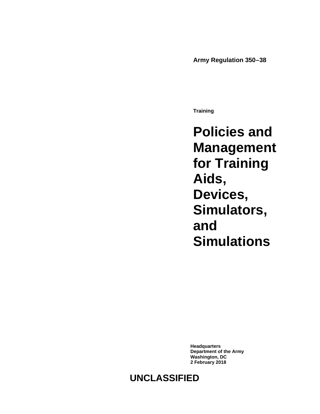**Army Regulation 350–38**

**Training**

**Policies and Management for Training Aids, Devices, Simulators, and Simulations**

**Headquarters Department of the Army Washington, DC 2 February 2018**

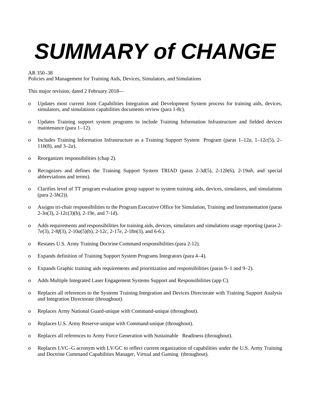# *SUMMARY of CHANGE*

AR 350–38

Policies and Management for Training Aids, Devices, Simulators, and Simulations

This major revision, dated 2 February 2018—

- o Updates most current Joint Capabilities Integration and Development System process for training aids, devices, simulators, and simulations capabilities documents review (para 1-8c).
- o Updates Training support system programs to include Training Information Infrastructure and fielded devices maintenance [\(para 1–12\)](#page-10-0).
- o Includes Training Information Infrastructure as a Training Support System Program (paras [1–12](#page-10-1)*a*, [1–12](#page-10-2)*c*(5), 2– 11*b*(8), an[d 3–2](#page-26-0)*a*).
- o Reorganizes responsibilities [\(chap 2\)](#page-11-0).
- o Recognizes and defines the Training Support System TRIAD (paras 2-3*d*(5), 2-12*b*(6), 2-19*ah*, and special abbreviations and terms).
- o Clarifies level of TT program evaluation group support to system training aids, devices, simulators, and simulations (para 2-3*h*(2)).
- o Assigns tri-chair responsibilities to the Program Executive Office for Simulation, Training and Instrumentation (paras 2-3o(3), 2-12c(3)(b), 2-19e, and 7-1d).
- o Adds requirements and responsibilities for training aids, devices, simulators and simulations usage reporting (paras 2- 7*e*(3), 2-8*f*(3), 2-10*a*(5)(b), 2-12*c*, 2-17*e*, 2-18*n*(3), and 6-6.).
- o Restates U.S. Army Training Doctrine Command responsibilities [\(para](#page-18-0) 2-12).
- o Expands definition of Training Support System Programs Integrators [\(para 4–4\)](#page-29-0).
- o Expands Graphic training aids requirements and prioritization and responsibilities (paras [9–1](#page-38-0) and [9–2\)](#page-39-0).
- o Adds Multiple Integrated Laser Engagement Systems Support and Responsibilities [\(app C\)](#page-44-0).
- o Replaces all references to the Systems Training Integration and Devices Directorate with Training Support Analysis and Integration Directorate (throughout).
- o Replaces Army National Guard-unique with Command-unique (throughout).
- o Replaces U.S. Army Reserve-unique with Command-unique (throughout).
- o Replaces all references to Army Force Generation with Sustainable Readiness (throughout).
- o Replaces LVC–G acronym with LV/GC to reflect current organization of capabilities under the U.S. Army Training and Doctrine Command Capabilities Manager, Virtual and Gaming (throughout).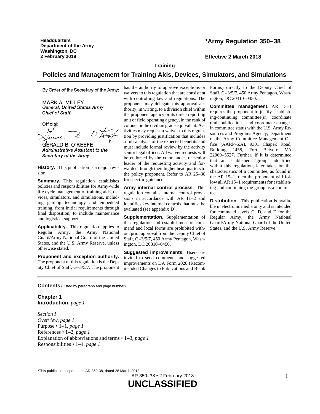**Headquarters Department of the Army Washington, DC 2 February 2018 Effective 2 March 2018**

# **\*Army Regulation 350–38**

**Training**

# **Policies and Management for Training Aids, Devices, Simulators, and Simulations**

By Order of the Secretary of the Army:

**MARK A. MILLEY** General, United States Army Chief of Staff

Official:

**GERALD B. O'KEEFE** Administrative Assistant to the Secretary of the Army

**History.** This publication is a major revision.

**Summary.** This regulation establishes policies and responsibilities for Army-wide life cycle management of training aids, devices, simulators, and simulations, including gaming technology and embedded training, from initial requirements through final disposition, to include maintenance and logistical support.

**Applicability.** This regulation applies to Regular Army, the Army National Guard/Army National Guard of the United States, and the U.S. Army Reserve, unless otherwise stated.

**Proponent and exception authority.** The proponent of this regulation is the Deputy Chief of Staff, G–3/5/7. The proponent has the authority to approve exceptions or waivers to this regulation that are consistent with controlling law and regulations. The proponent may delegate this approval authority, in writing, to a division chief within the proponent agency or its direct reporting unit or field operating agency, in the rank of colonel or the civilian grade equivalent. Activities may request a waiver to this regulation by providing justification that includes a full analysis of the expected benefits and must include formal review by the activity senior legal officer. All waiver requests will be endorsed by the commander, or senior leader of the requesting activity and forwarded through their higher headquarters to the policy proponent. Refer to AR 25–30 for specific guidance.

**Army internal control process.** This regulation contains internal control provisions in accordance with AR 11–2 and identifies key internal controls that must be evaluated (se[e appendix](#page-47-0) D).

**Supplementation.** Supplementation of this regulation and establishment of command and local forms are prohibited without prior approval from the Deputy Chief of Staff, G–3/5/7, 450 Army Pentagon, Washington, DC 20310–0450.

**Suggested improvements.** Users are invited to send comments and suggested improvements on DA Form 2028 (Recommended Changes to Publications and Blank Forms) directly to the Deputy Chief of Staff, G–3/5/7, 450 Army Pentagon, Washington, DC 20310–0450.

**Committee management.** AR 15–1 requires the proponent to justify establishing/continuing committee(s), coordinate draft publications, and coordinate changes in committee status with the U.S. Army Resources and Programs Agency, Department of the Army Committee Management Office (AARP–ZA), 9301 Chapek Road, Building 1458, Fort Belvoir, VA 22060–5527. Further, if it is determined that an established "group" identified within this regulation, later takes on the characteristics of a committee, as found in the AR 15–1, then the proponent will follow all AR 15–1 requirements for establishing and continuing the group as a committee.

**Distribution.** This publication is available in electronic media only and is intended for command levels C, D, and E for the Regular Army, the Army National Guard/Army National Guard of the United States, and the U.S. Army Reserve.

**Contents** (Listed by paragraph and page number)

# **Chapter 1 Introduction,** *page [1](#page-6-0)*

*Section I Overview, page [1](#page-6-1)* Purpose • 1–1, *page [1](#page-6-2)* References • 1–2, *page [1](#page-6-3)* Explanation of abbreviations and terms • 1–3, *page [1](#page-6-4)* Responsibilities • 1–4, *page [1](#page-6-5)*

\*This publication supersedes AR 350-38, dated 28 March 2013.

AR 350–38 • 2 February 2018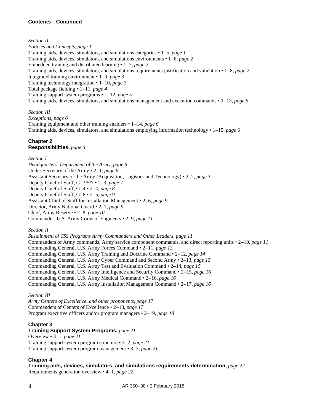# **Contents—Continued**

# *Section II*

*Policies and Concepts, page [1](#page-6-6)* Training aids, devices, simulators, and simulations categories • 1–5, *page [1](#page-6-7)* Training aids, devices, simulators, and simulations environments • 1–6, *page [2](#page-7-0)* Embedded training and distributed learning • 1–7, *page [2](#page-7-1)* Training aids, devices, simulators, and simulations requirements justification and validation • 1–8, *page [2](#page-7-2)* Integrated training environment • 1–9, *page [3](#page-8-0)* Training technology integration • 1–10, *page [3](#page-8-1)* Total package fielding • 1–11, *page [4](#page-9-0)* Training support system programs • 1–12, *page [5](#page-10-0)* Training aids, devices, simulators, and simulations management and execution commands • 1–13, *page [5](#page-10-3)*

# *Section III*

*Exceptions, page [6](#page-11-1)* Training equipment and other training enablers • 1–14, *page [6](#page-11-2)* Training aids, devices, simulators, and simulations employing information technology • 1–15, *page [6](#page-11-3)*

# **Chapter 2 Responsibilities,** *page [6](#page-11-0)*

# *Section I*

*Headquarters, Department of the Army, page [6](#page-11-4)* Under Secretary of the Army • 2–1, *page [6](#page-11-5)* Assistant Secretary of the Army (Acquisition, Logistics and Technology) • 2–2, *page [7](#page-12-0)* Deputy Chief of Staff, G–3/5/7 • 2–3, *page [7](#page-12-1)* Deputy Chief of Staff, G–4 • 2–4, *page [8](#page-13-0)* Deputy Chief of Staff, G–8 • 2–5, *page [9](#page-14-0)* Assistant Chief of Staff for Installation Management • 2–6, *page [9](#page-14-1)* Director, Army National Guard • 2–7, *page [9](#page-14-2)* Chief, Army Reserve • 2–8, *page [10](#page-15-0)* Commander, U.S. Army Corps of Engineers • 2–9, *page [11](#page-16-0)*

*Section II*

*Sustainment of TSS Programs Army Commanders and Other Leaders, page [11](#page-16-1)* Commanders of Army commands, Army service component commands, and direct reporting units • 2–10, *page [11](#page-16-2)* Commanding General, U.S. Army Forces Command • 2–11, *page [13](#page-18-0)* Commanding General, U.S. Army Training and Doctrine Command • 2–12, *page [14](#page-19-0)* Commanding General, U.S. Army Cyber Command and Second Army • 2–13, *page [15](#page-20-0)* Commanding General, U.S. Army Test and Evaluation Command • 2–14, *page [15](#page-20-1)* Commanding General, U.S. Army Intelligence and Security Command • 2–15, *page [16](#page-21-0)* Commanding General, U.S. Army Medical Command • 2–16, *page [16](#page-21-1)* Commanding General, U.S. Army Installation Management Command • 2–17, *page [16](#page-21-2)*

*Section III*

*Army Centers of Excellence, and other proponents, page [17](#page-22-0)* Commanders of Centers of Excellence • 2–18, *page [17](#page-22-1)* Program executive officers and/or program managers • 2–19, *page [18](#page-23-0)*

# **Chapter 3**

# **Training Support System Programs,** *page [21](#page-26-1)*

Overview • 3–1, *page [21](#page-26-2)* Training support system program structure • 3–2, *page [21](#page-26-3)* Training support system program management • 3–3, *page [21](#page-26-4)*

# **Chapter 4**

**Training aids, devices, simulators, and simulations requirements determination,** *page [22](#page-27-0)* Requirements generation overview • 4–1, *page [22](#page-27-1)*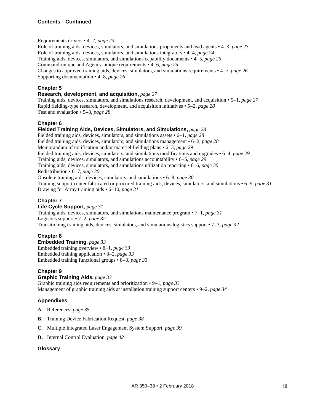# **Contents—Continued**

# Requirements drivers • 4–2, *page [23](#page-28-0)*

Role of training aids, devices, simulators, and simulations proponents and lead agents • 4–3, *page [23](#page-28-1)* Role of training aids, devices, simulators, and simulations integrators • 4–4, *page [24](#page-29-0)* Training aids, devices, simulators, and simulations capability documents • 4–5, *page [25](#page-30-0)* Command-unique and Agency-unique requirements • 4–6, *page [25](#page-30-1)* Changes to approved training aids, devices, simulators, and simulations requirements • 4–7, *page [26](#page-31-0)* Supporting documentation • 4–8, *page [26](#page-31-1)*

# **Chapter 5**

# **Research, development, and acquisition,** *page [27](#page-32-0)*

Training aids, devices, simulators, and simulations research, development, and acquisition • 5–1, *page [27](#page-32-1)* Rapid fielding-type research, development, and acquisition initiatives • 5–2, *page [28](#page-33-0)* Test and evaluation • 5–3, *page [28](#page-33-1)*

# **Chapter 6**

# **Fielded Training Aids, Devices, Simulators, and Simulations,** *page [28](#page-33-2)*

Fielded training aids, devices, simulators, and simulations assets • 6–1, *page [28](#page-33-3)* Fielded training aids, devices, simulators, and simulations management • 6–2, *page [28](#page-33-4)* Memorandum of notification and/or materiel fielding plans • 6–3, *page [29](#page-34-0)* Fielded training aids, devices, simulators, and simulations modifications and upgrades • 6–4, *page [29](#page-34-1)* Training aids, devices, simulators, and simulations accountability • 6–5, *page [29](#page-34-2)* Training aids, devices, simulators, and simulations utilization reporting • 6–6, *page [30](#page-35-0)* Redistribution • 6–7, *page [30](#page-35-1)* Obsolete training aids, devices, simulators, and simulations • 6–8, *page [30](#page-35-2)* Training support center fabricated or procured training aids, devices, simulators, and simulations • 6–9, *page [31](#page-36-0)* Drawing for Army training aids • 6–10, *page [31](#page-36-1)*

# **Chapter 7**

#### **Life Cycle Support,** *page [31](#page-36-2)* Training aids, devices, simulators, and simulations maintenance program • 7–1, *page [31](#page-36-3)* Logistics support • 7–2, *page [32](#page-37-0)*

Transitioning training aids, devices, simulators, and simulations logistics support • 7–3, *page [32](#page-37-1)*

# **Chapter 8**

**Embedded Training,** *page [33](#page-38-1)* Embedded training overview • 8–1, *page [33](#page-38-2)* Embedded training application • 8–2, *page [33](#page-38-3)* Embedded training functional groups • 8–3, *page [33](#page-38-4)*

# **Chapter 9**

# **Graphic Training Aids,** *page [33](#page-38-5)*

Graphic training aids requirements and prioritization • 9–1, *page [33](#page-38-0)* Management of graphic training aids at installation training support centers • 9–2, *page [34](#page-39-0)*

# **Appendixes**

- **A.** References, *page [35](#page-40-0)*
- **B.** Training Device Fabrication Request, *page [38](#page-43-0)*
- **C.** Multiple Integrated Laser Engagement System Support, *page [39](#page-44-0)*
- **D.** Internal Control Evaluation, *page [42](#page-47-0)*

# **Glossary**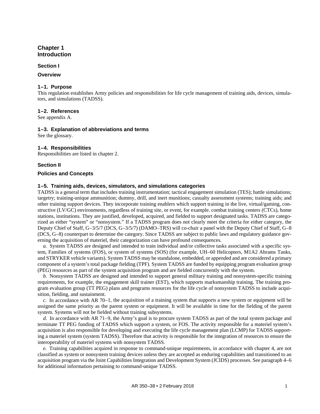# <span id="page-6-0"></span>**Chapter 1 Introduction**

#### **Section I**

#### <span id="page-6-2"></span><span id="page-6-1"></span>**Overview**

#### **1–1. Purpose**

This regulation establishes Army policies and responsibilities for life cycle management of training aids, devices, simulators, and simulations (TADSS).

#### <span id="page-6-3"></span>**1–2. References**

<span id="page-6-4"></span>See [appendix A.](#page-40-0)

#### **1–3. Explanation of abbreviations and terms**

<span id="page-6-5"></span>See th[e glossary.](#page-48-0)

#### **1–4. Responsibilities**

Responsibilities are listed i[n chapter 2.](#page-11-0)

# **Section II**

#### <span id="page-6-7"></span><span id="page-6-6"></span>**Policies and Concepts**

# **1–5. Training aids, devices, simulators, and simulations categories**

TADSS is a general term that includes training instrumentation; tactical engagement simulation (TES); battle simulations; targetry; training-unique ammunition; dummy, drill, and inert munitions; casualty assessment systems; training aids; and other training support devices. They incorporate training enablers which support training in the live, virtual/gaming, constructive (LV/GC) environments, regardless of training site, or event, for example. combat training centers (CTCs), home stations, institutions. They are justified, developed, acquired, and fielded to support designated tasks. TADSS are categorized as either "system" or "nonsystem." If a TADSS program does not clearly meet the criteria for either category, the Deputy Chief of Staff, G–3/5/7 (DCS, G–3/5/7) (DAMO–TRS) will co-chair a panel with the Deputy Chief of Staff, G–8 (DCS, G–8) counterpart to determine the category. Since TADSS are subject to public laws and regulatory guidance governing the acquisition of materiel, their categorization can have profound consequences.

*a.* System TADSS are designed and intended to train individual and/or collective tasks associated with a specific system, Families of systems (FOS), or system of systems (SOS) (for example, UH–60 Helicopters, M1A2 Abrams Tanks, and STRYKER vehicle variants). System TADSS may be standalone, embedded, or appended and are considered a primary component of a system's total package fielding (TPF). System TADSS are funded by equipping program evaluation group (PEG) resources as part of the system acquisition program and are fielded concurrently with the system.

*b.* Nonsystem TADSS are designed and intended to support general military training and nonsystem-specific training requirements, for example, the engagement skill trainer (EST), which supports marksmanship training. The training program evaluation group (TT PEG) plans and programs resources for the life cycle of nonsystem TADSS to include acquisition, fielding, and sustainment.

<span id="page-6-8"></span>*c.* In accordance with AR 70–1, the acquisition of a training system that supports a new system or equipment will be assigned the same priority as the parent system or equipment. It will be available in time for the fielding of the parent system. Systems will not be fielded without training subsystems.

<span id="page-6-9"></span>*d.* In accordance with AR 71–9, the Army's goal is to procure system TADSS as part of the total system package and terminate TT PEG funding of TADSS which support a system, or FOS. The activity responsible for a materiel system's acquisition is also responsible for developing and executing the life cycle management plan (LCMP) for TADSS supporting a materiel system (system TADSS). Therefore that activity is responsible for the integration of resources to ensure the interoperability of materiel systems with nonsystem TADSS.

*e.* Training capabilities acquired in response to command-unique requirements, in accordance with [chapter](#page-27-0) 4, are not classified as system or nonsystem training devices unless they are accepted as enduring capabilities and transitioned to an acquisition program via the Joint Capabilities Integration and Development System (JCIDS) processes. Se[e paragraph](#page-30-1) 4–6 for additional information pertaining to command-unique TADSS.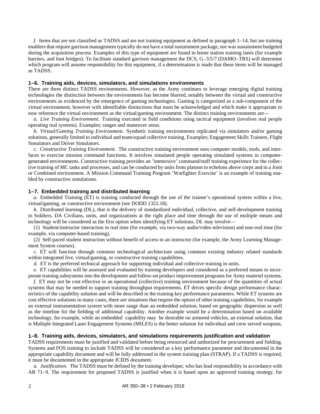*f.* Items that are not classified as TADSS and are not training equipment as defined in [paragraph](#page-11-2) 1–14, but are training enablers that require garrison management typically do not have a total sustainment package, nor was sustainment budgeted during the acquisition process. Examples of this type of equipment are found in home station training lanes (for example barriers, and foot bridges). To facilitate standard garrison management the DCS, G–3/5/7 (DAMO–TRS) will determine which program will assume responsibility for this equipment, if a determination is made that these items will be managed as TADSS.

#### <span id="page-7-0"></span>**1–6. Training aids, devices, simulators, and simulations environments**

There are three distinct TADSS environments. However, as the Army continues to leverage emerging digital training technologies the distinction between the environments has become blurred, notably between the virtual and constructive environments as evidenced by the emergence of gaming technologies. Gaming is categorized as a sub-component of the virtual environment, however with identifiable distinctions that must be acknowledged and which make it appropriate to now reference the virtual environment as the virtual/gaming environment. The distinct training environments are––

*a. Live Training Environment.* Training executed in field conditions using tactical equipment (involves real people operating real systems). Examples; ranges and maneuver areas.

*b. Virtual/Gaming Training Environment.* Synthetic training environments replicated via simulators and/or gaming solutions, generally limited to individual and team/squad collective training. Examples; Engagement Skills Trainers, Flight Simulators and Driver Simulators.

*c. Constructive Training Environment.* The constructive training environment uses computer models, tools, and interfaces to exercise mission command functions. It involves simulated people operating simulated systems in computergenerated environments. Constructive training provides an 'immersive' command/staff training experience for the collective training of MC tasks and processes, and can be conducted by units from platoon to echelons above corps and in a Joint or Combined environment. A Mission Command Training Program 'Warfighter Exercise' is an example of training enabled by constructive simulations.

# <span id="page-7-1"></span>**1–7. Embedded training and distributed learning**

*a.* Embedded Training (ET) is training conducted through the use of the trainee's operational system within a live, virtual/gaming, or constructive environment (see DODD 1322.18).

*b.* Distributed learning (DL), that is the delivery of standardized individual, collective, and self-development training to Soldiers, DA Civilians, units, and organizations at the right place and time through the use of multiple means and technology will be considered as the first option when identifying ET solutions. DL may involve––

(1) Student/instructor interaction in real time (for example, via two-way audio/video television) and non-real time (for example, via computer-based training).

(2) Self-paced student instruction without benefit of access to an instructor (for example, the Army Learning Management System courses).

*c.* ET will function through common technological architecture using common existing industry related standards within integrated live, virtual/gaming, or constructive training capabilities.

*d.* ET is the preferred technical approach for supporting individual and collective training in units.

*e.* ET capabilities will be assessed and evaluated by training developers and considered as a preferred means to incorporate training subsystems into the development and follow-on product improvement programs for Army materiel systems.

*f.* ET may not be cost effective in an operational (collective) training environment because of the quantities of actual systems that may be needed to support training throughput requirements. ET drives specific design performance characteristics of the capability solution and will be described in the training key performance parameters. While ET systems are cost effective solutions in many cases, there are situations that require the option of other training capabilities, for example an external instrumentation system with more range than an embedded solution, based on geographic dispersion as well as the timeline for the fielding of additional capability. Another example would be a determination based on available technology, for example, while an embedded capability may be desirable on armored vehicles, an external solution, that is Multiple Integrated Laser Engagement Systems (MILES) is the better solution for individual and crew served weapons.

#### <span id="page-7-2"></span>**1–8. Training aids, devices, simulators, and simulations requirements justification and validation**

TADSS requirements must be justified and validated before being resourced and authorized for procurement and fielding. Systems and FOS training to include TADSS will be considered as a key performance parameter and documented in the appropriate capability document and will be fully addressed in the system training plan (STRAP). If a TADSS is required, it must be documented in the appropriate JCIDS document.

<span id="page-7-3"></span>*a. Justification.* The TADSS must be defined by the training developer, who has lead responsibility in accordance with AR 71–9. The requirement for proposed TADSS is justified when it is based upon an approved training strategy, for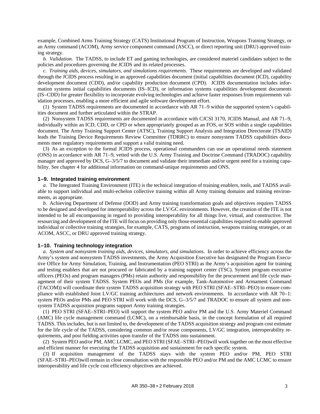example, Combined Arms Training Strategy (CATS) Institutional Program of Instruction, Weapons Training Strategy, or an Army command (ACOM), Army service component command (ASCC), or direct reporting unit (DRU) approved training strategy.

*b. Validation.* The TADSS, to include ET and gaming technologies, are considered materiel candidates subject to the policies and procedures governing the JCIDS and its related processes.

*c. Training aids, devices, simulators, and simulations requirements.* These requirements are developed and validated through the JCIDS process resulting in an approved capabilities document (initial capabilities document (ICD), capability development document (CDD), and/or capability production document (CPD). JCIDS documentation includes information systems initial capabilities documents (IS–ICD), or information systems capabilities development documents (IS–CDD) for greater flexibility to incorporate evolving technologies and achieve faster responses from requirements validation processes, enabling a more efficient and agile software development effort.

(1) System TADSS requirements are documented in accordance with AR 71–9 within the supported system's capabilities document and further articulated within the STRAP.

(2) Nonsystem TADSS requirements are documented in accordance with CJCSI 3170, JCIDS Manual, and AR 71–9, individually within an ICD, CDD, or CPD or when appropriately grouped as an FOS, or SOS within a single capabilities document. The Army Training Support Center (ATSC), Training Support Analysis and Integration Directorate (TSAID) leads the Training Device Requirements Review Committee (TDRRC) to ensure nonsystem TADSS capabilities documents meet regulatory requirements and support a valid training need.

(3) As an exception to the formal JCIDS process, operational commanders can use an operational needs statement (ONS) in accordance with AR 71–9, vetted with the U.S. Army Training and Doctrine Command (TRADOC) capability manager and approved by DCS, G-3/5/7 to document and validate their immediate and/or urgent need for a training capability. See [chapter](#page-27-0) 4 for additional information on command-unique requirements and ONS.

#### <span id="page-8-0"></span>**1–9. Integrated training environment**

*a.* The Integrated Training Environment (ITE) is the technical integration of training enablers, tools, and TADSS available to support individual and multi-echelon collective training within all Army training domains and training environments, as appropriate.

*b.* Achieving Department of Defense (DOD) and Army training transformation goals and objectives requires TADSS to be designed and developed for interoperability across the LV/GC environments. However, the creation of the ITE is not intended to be all encompassing in regard to providing interoperability for all things live, virtual, and constructive. The resourcing and development of the ITE will focus on providing only those essential capabilities required to enable approved individual or collective training strategies, for example, CATS, programs of instruction, weapons training strategies, or an ACOM, ASCC, or DRU approved training strategy.

#### <span id="page-8-1"></span>**1–10. Training technology integration**

*a. System and nonsystem training aids, devices, simulators, and simulations.* In order to achieve efficiency across the Army's system and nonsystem TADSS investments, the Army Acquisition Executive has designated the Program Executive Office for Army Simulation, Training, and Instrumentation (PEO STRI) as the Army's acquisition agent for training and testing enablers that are not procured or fabricated by a training support center (TSC). System program executive officers (PEOs) and program managers (PMs) retain authority and responsibility for the procurement and life cycle management of their system TADSS. System PEOs and PMs (for example, Tank-Automotive and Armament Command (TACOM)) will coordinate their system TADSS acquisition strategy with PEO STRI (SFAE–STRI–PEO) to ensure compliance with established Joint LV/GC training architectures and network environments. In accordance with AR 70–1: system PEOs and/or PMs and PEO STRI will work with the DCS, G-3/5/7 and TRADOC to ensure all system and nonsystem TADSS acquisition programs support Army training strategies.

(1) PEO STRI (SFAE–STRI–PEO) will support the system PEO and/or PM and the U.S. Army Materiel Command (AMC) life cycle management command (LCMC), on a reimbursable basis, in the concept formulation of all required TADSS. This includes, but is not limited to, the development of the TADSS acquisition strategy and program cost estimate for the life cycle of the TADSS, considering common and/or reuse components, LV/GC integration, interoperability requirements, and post fielding activities upon transfer of the TADSS into sustainment.

(2) System PEO and/or PM, AMC LCMC, and PEO STRI (SFAE–STRI–PEO)will work together on the most effective and efficient manner for executing the TADSS acquisition and sustainment for each specific system.

(3) If acquisition management of the TADSS stays with the system PEO and/or PM, PEO STRI (SFAE–STRI–PEO)will remain in close consultation with the responsible PEO and/or PM and the AMC LCMC to ensure interoperability and life cycle cost efficiency objectives are achieved.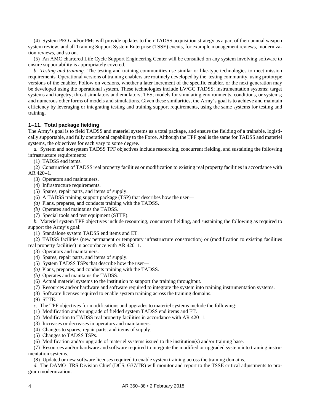(4) System PEO and/or PMs will provide updates to their TADSS acquisition strategy as a part of their annual weapon system review, and all Training Support System Enterprise (TSSE) events, for example management reviews, modernization reviews, and so on.

(5) An AMC chartered Life Cycle Support Engineering Center will be consulted on any system involving software to ensure supportability is appropriately covered.

*b. Testing and training.* The testing and training communities use similar or like-type technologies to meet mission requirements. Operational versions of training enablers are routinely developed by the testing community, using prototype versions of the enabler. Follow on versions, whether a later increment of the specific enabler, or the next generation may be developed using the operational system. These technologies include LV/GC TADSS; instrumentation systems; target systems and targetry; threat simulators and emulators; TES; models for simulating environments, conditions, or systems; and numerous other forms of models and simulations. Given these similarities, the Army's goal is to achieve and maintain efficiency by leveraging or integrating testing and training support requirements, using the same systems for testing and training.

# <span id="page-9-0"></span>**1–11. Total package fielding**

The Army's goal is to field TADSS and materiel systems as a total package, and ensure the fielding of a trainable, logistically supportable, and fully operational capability to the Force. Although the TPF goal is the same for TADSS and materiel systems, the objectives for each vary to some degree.

*a.* System and nonsystem TADSS TPF objectives include resourcing, concurrent fielding, and sustaining the following infrastructure requirements:

(1) TADSS end items.

(2) Construction of TADSS real property facilities or modification to existing real property facilities in accordance with AR 420–1.

- (3) Operators and maintainers.
- (4) Infrastructure requirements.
- (5) Spares, repair parts, and items of supply.
- (6) A TADSS training support package (TSP) that describes how the user—
- *(a)* Plans, prepares, and conducts training with the TADSS.
- *(b)* Operates and maintains the TADSS.
- (7) Special tools and test equipment (STTE).

*b.* Materiel system TPF objectives include resourcing, concurrent fielding, and sustaining the following as required to support the Army's goal:

(1) Standalone system TADSS end items and ET.

(2) TADSS facilities (new permanent or temporary infrastructure construction) or (modification to existing facilities real property facilities) in accordance with AR 420–1.

- (3) Operators and maintainers.
- (4) Spares, repair parts, and items of supply.
- (5) System TADSS TSPs that describe how the user—
- *(a)* Plans, prepares, and conducts training with the TADSS.
- *(b)* Operates and maintains the TADSS.
- (6) Actual materiel systems to the institution to support the training throughput.
- (7) Resources and/or hardware and software required to integrate the system into training instrumentation systems.
- (8) Software licenses required to enable system training across the training domains.
- (9) STTE.
- *c.* The TPF objectives for modifications and upgrades to materiel systems include the following:
- (1) Modification and/or upgrade of fielded system TADSS end items and ET.
- (2) Modification to TADSS real property facilities in accordance with AR 420–1.
- (3) Increases or decreases in operators and maintainers.
- (4) Changes to spares, repair parts, and items of supply.
- (5) Changes to TADSS TSPs.
- (6) Modification and/or upgrade of materiel systems issued to the institution(s) and/or training base.

(7) Resources and/or hardware and software required to integrate the modified or upgraded system into training instrumentation systems.

(8) Updated or new software licenses required to enable system training across the training domains.

*d.* The DAMO–TRS Division Chief (DCS, G37/TR) will monitor and report to the TSSE critical adjustments to program modernization.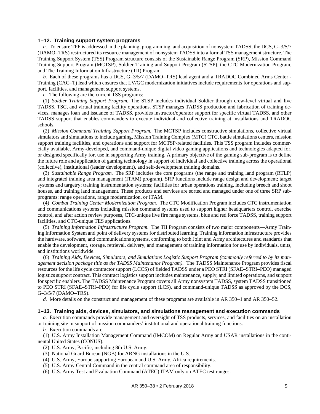#### <span id="page-10-0"></span>**1–12. Training support system programs**

<span id="page-10-1"></span>*a.* To ensure TPF is addressed in the planning, programming, and acquisition of nonsystem TADSS, the DCS, G–3/5/7 (DAMO–TRS) restructured its resource management of nonsystem TADSS into a formal TSS management structure. The Training Support System (TSS) Program structure consists of the Sustainable Range Program (SRP), Mission Command Training Support Program (MCTSP), Soldier Training and Support Program (STSP), the CTC Modernization Program, and The Training Information Infrastructure (TII) Program.

*b.* Each of these programs has a DCS, G–3/5/7 (DAMO–TRS) lead agent and a TRADOC Combined Arms Center - Training (CAC–T) lead which ensures that LV/GC modernization initiatives include requirements for operations and support, facilities, and management support systems.

*c.* The following are the current TSS programs:

(1) *Soldier Training Support Program.* The STSP includes individual Soldier through crew-level virtual and live TADSS, TSC, and virtual training facility operations. STSP manages TADSS production and fabrication of training devices, manages loan and issuance of TADSS, provides instructor/operator support for specific virtual TADSS, and other TADSS support that enables commanders to execute individual and collective training at installations and TRADOC schools.

(2) *Mission Command Training Support Program.* The MCTSP includes constructive simulations, collective virtual simulators and simulations to include gaming, Mission Training Complex (MTC) CTC, battle simulations centers, mission support training facilities, and operations and support for MCTSP-related facilities. This TSS program includes commercially available, Army-developed, and command-unique digital video gaming applications and technologies adapted for, or designed specifically for, use in supporting Army training. A primary objective of the gaming sub-program is to define the future role and application of gaming technology in support of individual and collective training across the operational (collective), institutional (leader development), and self-development training domains.

(3) *Sustainable Range Program.* The SRP includes the core programs (the range and training land program (RTLP) and integrated training area management (ITAM) program). SRP functions include range design and development; target systems and targetry; training instrumentation systems; facilities for urban operations training, including breech and shoot houses, and training land management. These products and services are sorted and managed under one of three SRP subprograms: range operations, range modernization, or ITAM.

(4) *Combat Training Center Modernization Program.* The CTC Modification Program includes CTC instrumentation and communications systems including mission command systems used to support higher headquarters control, exercise control, and after action review purposes, CTC-unique live fire range systems, blue and red force TADSS, training support facilities, and CTC-unique TES applications.

<span id="page-10-2"></span>(5) *Training Information Infrastructure Program.* The TII Program consists of two major components—Army Training Information System and point of delivery systems for distributed learning. Training information infrastructure provides the hardware, software, and communications systems, conforming to both Joint and Army architectures and standards that enable the development, storage, retrieval, delivery, and management of training information for use by individuals, units, and institutions worldwide.

(6) *Training Aids, Devices, Simulators, and Simulations Logistic Support Program (commonly referred to by its management decision package title as the TADSS Maintenance Program).* The TADSS Maintenance Program provides fiscal resources for the life cycle contractor support (LCCS) of fielded TADSS under a PEO STRI (SFAE–STRI–PEO) managed logistics support contract. This contract logistics support includes maintenance, supply, and limited operations, and support for specific enablers. The TADSS Maintenance Program covers all Army nonsystem TADSS, system TADSS transitioned to PEO STRI (SFAE–STRI–PEO) for life cycle support (LCS), and command-unique TADSS as approved by the DCS, G–3/5/7 (DAMO–TRS).

<span id="page-10-4"></span><span id="page-10-3"></span>*d.* More details on the construct and management of these programs are available in AR 350–1 and AR 350–52.

#### **1–13. Training aids, devices, simulators, and simulations management and execution commands**

*a.* Execution commands provide management and oversight of TSS products, services, and facilities on an installation or training site in support of mission commanders' institutional and operational training functions.

*b.* Execution commands are—

(1) U.S. Army Installation Management Command (IMCOM) on Regular Army and USAR installations in the continental United States (CONUS).

(2) U.S. Army, Pacific, including 8th U.S. Army.

- (3) National Guard Bureau (NGB) for ARNG installations in the U.S.
- (4) U.S. Army, Europe supporting European and U.S. Army, Africa requirements.
- (5) U.S. Army Central Command in the central command area of responsibility.
- (6) U.S. Army Test and Evaluation Command (ATEC) ITAM only on ATEC test ranges.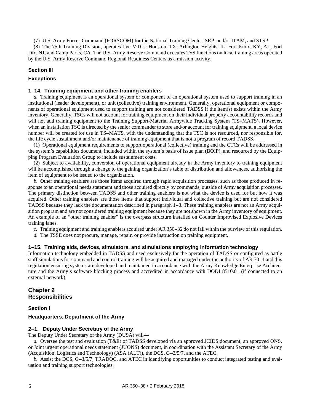(7) U.S. Army Forces Command (FORSCOM) for the National Training Center, SRP, and/or ITAM, and STSP.

(8) The 75th Training Division, operates five MTCs: Houston, TX; Arlington Heights, IL; Fort Knox, KY, AL; Fort Dix, NJ; and Camp Parks, CA. The U.S. Army Reserve Command executes TSS functions on local training areas operated by the U.S. Army Reserve Command Regional Readiness Centers as a mission activity.

# **Section III**

#### <span id="page-11-2"></span><span id="page-11-1"></span>**Exceptions**

#### **1–14. Training equipment and other training enablers**

*a.* Training equipment is an operational system or component of an operational system used to support training in an institutional (leader development), or unit (collective) training environment. Generally, operational equipment or components of operational equipment used to support training are not considered TADSS if the item(s) exists within the Army inventory. Generally, TSCs will not account for training equipment on their individual property accountability records and will not add training equipment to the Training Support-Material Armywide Tracking System (TS–MATS). However, when an installation TSC is directed by the senior commander to store and/or account for training equipment, a local device number will be created for use in TS–MATS, with the understanding that the TSC is not resourced, nor responsible for, the life cycle sustainment and/or maintenance of training equipment that is not a program of record TADSS.

(1) Operational equipment requirements to support operational (collective) training and the CTCs will be addressed in the system's capabilities document, included within the system's basis of issue plan (BOIP), and resourced by the Equipping Program Evaluation Group to include sustainment costs.

(2) Subject to availability, conversion of operational equipment already in the Army inventory to training equipment will be accomplished through a change to the gaining organization's table of distribution and allowances, authorizing the item of equipment to be issued to the organization.

*b.* Other training enablers are those items acquired through rapid acquisition processes, such as those produced in response to an operational needs statement and those acquired directly by commands, outside of Army acquisition processes. The primary distinction between TADSS and other training enablers is not what the device is used for but how it was acquired. Other training enablers are those items that support individual and collective training but are not considered TADSS because they lack the documentation described i[n paragraph](#page-7-2) 1–8. These training enablers are not an Army acquisition program and are not considered training equipment because they are not shown in the Army inventory of equipment. An example of an "other training enabler" is the overpass structure installed on Counter Improvised Explosive Devices training lanes.

*c.* Training equipment and training enablers acquired under AR 350–32 do not fall within the purview of this regulation.

*d.* The TSSE does not procure, manage, repair, or provide instruction on training equipment.

#### <span id="page-11-3"></span>**1–15. Training aids, devices, simulators, and simulations employing information technology**

Information technology embedded in TADSS and used exclusively for the operation of TADSS or configured as battle staff simulations for command and control training will be acquired and managed under the authority of AR 70–1 and this regulation ensuring systems are developed and maintained in accordance with the Army Knowledge Enterprise Architecture and the Army's software blocking process and accredited in accordance with DODI 8510.01 (if connected to an external network).

# <span id="page-11-0"></span>**Chapter 2 Responsibilities**

# **Section I**

# <span id="page-11-5"></span><span id="page-11-4"></span>**Headquarters, Department of the Army**

# **2–1. Deputy Under Secretary of the Army**

The Deputy Under Secretary of the Army (DUSA) will—

*a.* Oversee the test and evaluation (T&E) of TADSS developed via an approved JCIDS document, an approved ONS, or Joint urgent operational needs statement (JUONS) document, in coordination with the Assistant Secretary of the Army (Acquisition, Logistics and Technology) (ASA (ALT)), the DCS, G–3/5/7, and the ATEC.

*b.* Assist the DCS, G–3/5/7, TRADOC, and ATEC in identifying opportunities to conduct integrated testing and evaluation and training support technologies.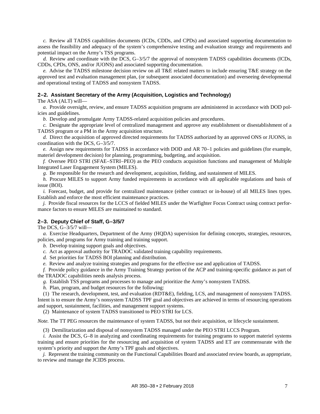*c.* Review all TADSS capabilities documents (ICDs, CDDs, and CPDs) and associated supporting documentation to assess the feasibility and adequacy of the system's comprehensive testing and evaluation strategy and requirements and potential impact on the Army's TSS programs.

*d.* Review and coordinate with the DCS, G–3/5/7 the approval of nonsystem TADSS capabilities documents (ICDs, CDDs, CPDs, ONS, and/or JUONS) and associated supporting documentation.

*e.* Advise the TADSS milestone decision review on all T&E related matters to include ensuring T&E strategy on the approved test and evaluation management plan, (or subsequent associated documentation) and overseeing developmental and operational testing of TADSS and nonsystem TADSS.

# <span id="page-12-0"></span>**2–2. Assistant Secretary of the Army (Acquisition, Logistics and Technology)**

The ASA (ALT) will—

*a.* Provide oversight, review, and ensure TADSS acquisition programs are administered in accordance with DOD policies and guidelines.

*b.* Develop and promulgate Army TADSS-related acquisition policies and procedures.

*c.* Designate the appropriate level of centralized management and approve any establishment or disestablishment of a TADSS program or a PM in the Army acquisition structure.

*d.* Direct the acquisition of approved directed requirements for TADSS authorized by an approved ONS or JUONS, in coordination with the DCS, G–3/5/7.

*e.* Assign new requirements for TADSS in accordance with DOD and AR 70–1 policies and guidelines (for example, materiel development decision) for planning, programming, budgeting, and acquisition.

*f.* Oversee PEO STRI (SFAE–STRI–PEO) as the PEO conducts acquisition functions and management of Multiple Integrated Laser Engagement System (MILES).

*g.* Be responsible for the research and development, acquisition, fielding, and sustainment of MILES.

*h.* Procure MILES to support Army funded requirements in accordance with all applicable regulations and basis of issue (BOI).

*i.* Forecast, budget, and provide for centralized maintenance (either contract or in-house) of all MILES lines types. Establish and enforce the most efficient maintenance practices.

*j.* Provide fiscal resources for the LCCS of fielded MILES under the Warfighter Focus Contract using contract performance factors to ensure MILES are maintained to standard.

## <span id="page-12-1"></span>**2–3. Deputy Chief of Staff, G–3/5/7**

The DCS, G–3/5/7 will—

*a.* Exercise Headquarters, Department of the Army (HQDA) supervision for defining concepts, strategies, resources, policies, and programs for Army training and training support.

*b.* Develop training support goals and objectives.

*c.* Act as approval authority for TRADOC validated training capability requirements.

*d.* Set priorities for TADSS BOI planning and distribution.

*e.* Review and analyze training strategies and programs for the effective use and application of TADSS.

*f.* Provide policy guidance in the Army Training Strategy portion of the ACP and training-specific guidance as part of the TRADOC capabilities needs analysis process.

*g.* Establish TSS programs and processes to manage and prioritize the Army's nonsystem TADSS.

*h.* Plan, program, and budget resources for the following:

(1) The research, development, test, and evaluation (RDT&E), fielding, LCS, and management of nonsystem TADSS. Intent is to ensure the Army's nonsystem TADSS TPF goal and objectives are achieved in terms of resourcing operations and support, sustainment, facilities, and management support systems.

(2) Maintenance of system TADSS transitioned to PEO STRI for LCS.

*Note.* The TT PEG resources the maintenance of system TADSS, but not their acquisition, or lifecycle sustainment.

(3) Demilitarization and disposal of nonsystem TADSS managed under the PEO STRI LCCS Program.

*i.* Assist the DCS, G–8 in analyzing and coordinating requirements for training programs to support materiel systems training and ensure priorities for the resourcing and acquisition of system TADSS and ET are commensurate with the system's priority and support the Army's TPF goals and objectives.

*j.* Represent the training community on the Functional Capabilities Board and associated review boards, as appropriate, to review and manage the JCIDS process.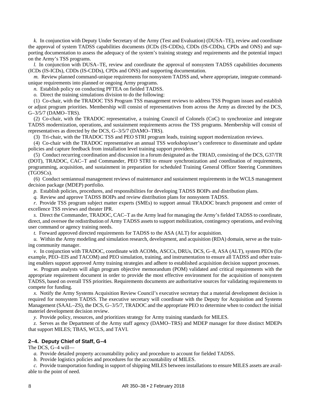*k.* In conjunction with Deputy Under Secretary of the Army (Test and Evaluation) (DUSA–TE), review and coordinate the approval of system TADSS capabilities documents (ICDs (IS-CDDs), CDDs (IS-CDDs), CPDs and ONS) and supporting documentation to assess the adequacy of the system's training strategy and requirements and the potential impact on the Army's TSS programs.

*l.* In conjunction with DUSA–TE, review and coordinate the approval of nonsystem TADSS capabilities documents (ICDs (IS-ICDs), CDDs (IS-CDDs), CPDs and ONS) and supporting documentation.

*m.* Review planned command-unique requirements for nonsystem TADSS and, where appropriate, integrate commandunique requirements into planned or ongoing Army programs.

*n.* Establish policy on conducting PFTEA on fielded TADSS.

*o.* Direct the training simulations division to do the following:

(1) Co-chair, with the TRADOC TSS Program TSS management reviews to address TSS Program issues and establish or adjust program priorities. Membership will consist of representatives from across the Army as directed by the DCS, G–3/5/7 (DAMO–TRS).

(2) Co-chair, with the TRADOC representative, a training Council of Colonels (CoC) to synchronize and integrate TADSS modernization, operations, and sustainment requirements across the TSS programs. Membership will consist of representatives as directed by the DCS, G–3/5/7 (DAMO–TRS).

(3) Tri-chair, with the TRADOC TSS and PEO STRI program leads, training support modernization reviews.

(4) Co-chair with the TRADOC representative an annual TSS workshop/user's conference to disseminate and update policies and capture feedback from installation level training support providers.

(5) Conduct recurring coordination and discussion in a forum designated as the TRIAD, consisting of the DCS, G37/TR (DOT), TRADOC, CAC–T and Commander, PEO STRI to ensure synchronization and coordination of requirements, programming, acquisition, and sustainment in preparation for scheduled Training General Officer Steering Committees (TGOSCs).

(6) Conduct semiannual management reviews of maintenance and sustainment requirements in the WCLS management decision package (MDEP) portfolio.

*p.* Establish policies, procedures, and responsibilities for developing TADSS BOIPs and distribution plans.

*q.* Review and approve TADSS BOIPs and review distribution plans for nonsystem TADSS.

*r.* Provide TSS program subject matter experts (SMEs) to support annual TRADOC branch proponent and center of excellence TSS reviews and theater IPR.

*s.* Direct the Commander, TRADOC, CAC–T as the Army lead for managing the Army's fielded TADSS to coordinate, direct, and oversee the redistribution of Army TADSS assets to support mobilization, contingency operations, and evolving user command or agency training needs.

*t.* Forward approved directed requirements for TADSS to the ASA (ALT) for acquisition.

*u.* Within the Army modeling and simulation research, development, and acquisition (RDA) domain, serve as the training community manager.

*v.* In conjunction with TRADOC, coordinate with ACOMs, ASCCs, DRUs, DCS, G–8, ASA (ALT), system PEOs (for example, PEO–EIS and TACOM) and PEO simulation, training, and instrumentation to ensure all TADSS and other training enablers support approved Army training strategies and adhere to established acquisition decision support processes.

*w.* Program analysts will align program objective memorandum (POM) validated and critical requirements with the appropriate requirement document in order to provide the most effective environment for the acquisition of nonsystem TADSS, based on overall TSS priorities. Requirements documents are authoritative sources for validating requirements to compete for funding.

*x.* Notify the Army Systems Acquisition Review Council's executive secretary that a material development decision is required for nonsystem TADSS. The executive secretary will coordinate with the Deputy for Acquisition and Systems Management (SAAL–ZS), the DCS, G–3/5/7, TRADOC and the appropriate PEO to determine when to conduct the initial materiel development decision review.

*y.* Provide policy, resources, and prioritizes strategy for Army training standards for MILES.

*z.* Serves as the Department of the Army staff agency (DAMO–TRS) and MDEP manager for three distinct MDEPs that support MILES; TBAS, WCLS, and TAVI.

# <span id="page-13-0"></span>**2–4. Deputy Chief of Staff, G–4**

The DCS, G–4 will—

- *a.* Provide detailed property accountability policy and procedure to account for fielded TADSS.
- *b.* Provide logistics policies and procedures for the accountability of MILES.

*c.* Provide transportation funding in support of shipping MILES between installations to ensure MILES assets are available to the point of need.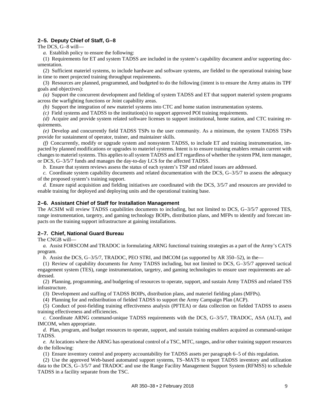# <span id="page-14-0"></span>**2–5. Deputy Chief of Staff, G–8**

The DCS, G–8 will—

*a.* Establish policy to ensure the following:

(1) Requirements for ET and system TADSS are included in the system's capability document and/or supporting documentation.

(2) Sufficient materiel systems, to include hardware and software systems, are fielded to the operational training base in time to meet projected training throughput requirements.

(3) Resources are planned, programmed, and budgeted to do the following (intent is to ensure the Army attains its TPF goals and objectives):

*(a)* Support the concurrent development and fielding of system TADSS and ET that support materiel system programs across the warfighting functions or Joint capability areas.

*(b)* Support the integration of new materiel systems into CTC and home station instrumentation systems.

*(c)* Field systems and TADSS to the institution(s) to support approved POI training requirements.

*(d)* Acquire and provide system related software licenses to support institutional, home station, and CTC training requirements.

*(e)* Develop and concurrently field TADSS TSPs to the user community. As a minimum, the system TADSS TSPs provide for sustainment of operator, trainer, and maintainer skills.

*(f)* Concurrently, modify or upgrade system and nonsystem TADSS, to include ET and training instrumentation, impacted by planned modifications or upgrades to materiel systems. Intent is to ensure training enablers remain current with changes to materiel systems. This applies to all system TADSS and ET regardless of whether the system PM, item manager, or DCS, G–3/5/7 funds and manages the day-to-day LCS for the affected TADSS.

*b.* Ensure that system reviews assess the status of each system's TSP and related issues are addressed.

*c.* Coordinate system capability documents and related documentation with the DCS, G–3/5/7 to assess the adequacy of the proposed system's training support.

*d.* Ensure rapid acquisition and fielding initiatives are coordinated with the DCS, 3/5/7 and resources are provided to enable training for deployed and deploying units and the operational training base.

# <span id="page-14-1"></span>**2–6. Assistant Chief of Staff for Installation Management**

The ACSIM will review TADSS capabilities documents to including, but not limited to DCS, G–3/5/7 approved TES, range instrumentation, targetry, and gaming technology BOIPs, distribution plans, and MFPs to identify and forecast impacts on the training support infrastructure at gaining installations.

# <span id="page-14-2"></span>**2–7. Chief, National Guard Bureau**

The CNGB will—

*a.* Assist FORSCOM and TRADOC in formulating ARNG functional training strategies as a part of the Army's CATS program.

*b.* Assist the DCS, G–3/5/7, TRADOC, PEO STRI, and IMCOM (as supported by AR 350–52), in the—

(1) Review of capability documents for Army TADSS including, but not limited to DCS, G–3/5/7 approved tactical engagement system (TES), range instrumentation, targetry, and gaming technologies to ensure user requirements are addressed.

(2) Planning, programming, and budgeting of resources to operate, support, and sustain Army TADSS and related TSS infrastructure.

(3) Development and staffing of TADSS BOIPs, distribution plans, and materiel fielding plans (MFPs).

(4) Planning for and redistribution of fielded TADSS to support the Army Campaign Plan (ACP).

(5) Conduct of post-fielding training effectiveness analysis (PFTEA) or data collection on fielded TADSS to assess training effectiveness and efficiencies.

*c.* Coordinate ARNG command-unique TADSS requirements with the DCS, G–3/5/7, TRADOC, ASA (ALT), and IMCOM, when appropriate.

*d.* Plan, program, and budget resources to operate, support, and sustain training enablers acquired as command-unique TADSS.

*e.* At locations where the ARNG has operational control of a TSC, MTC, ranges, and/or other training support resources do the following:

(1) Ensure inventory control and property accountability for TADSS assets per [paragraph](#page-34-2) 6–5 of this regulation.

(2) Use the approved Web-based automated support systems, TS–MATS to report TADSS inventory and utilization data to the DCS, G–3/5/7 and TRADOC and use the Range Facility Management Support System (RFMSS) to schedule TADSS in a facility separate from the TSC.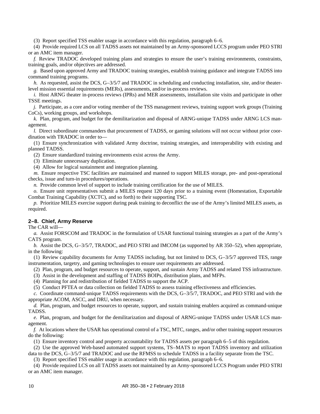(3) Report specified TSS enabler usage in accordance with this regulation, [paragraph](#page-35-0) 6–6.

(4) Provide required LCS on all TADSS assets not maintained by an Army-sponsored LCCS program under PEO STRI or an AMC item manager.

*f.* Review TRADOC developed training plans and strategies to ensure the user's training environments, constraints, training goals, and/or objectives are addressed.

*g.* Based upon approved Army and TRADOC training strategies, establish training guidance and integrate TADSS into command training programs.

*h.* As requested, assist the DCS, G–3/5/7 and TRADOC in scheduling and conducting installation, site, and/or theaterlevel mission essential requirements (MERs), assessments, and/or in-process reviews.

*i.* Host ARNG theater in-process reviews (IPRs) and MER assessments, installation site visits and participate in other TSSE meetings.

*j.* Participate, as a core and/or voting member of the TSS management reviews, training support work groups (Training CoCs), working groups, and workshops.

*k.* Plan, program, and budget for the demilitarization and disposal of ARNG-unique TADSS under ARNG LCS management.

*l.* Direct subordinate commanders that procurement of TADSS, or gaming solutions will not occur without prior coordination with TRADOC in order to—

(1) Ensure synchronization with validated Army doctrine, training strategies, and interoperability with existing and planned TADSS.

(2) Ensure standardized training environments exist across the Army.

(3) Eliminate unnecessary duplication.

(4) Allow for logical sustainment and integration planning.

*m.* Ensure respective TSC facilities are maintained and manned to support MILES storage, pre- and post-operational checks, issue and turn-in procedures/operations.

*n.* Provide common level of support to include training certification for the use of MILES.

*o.* Ensure unit representatives submit a MILES request 120 days prior to a training event (Homestation, Exportable Combat Training Capability (XCTC), and so forth) to their supporting TSC.

*p.* Prioritize MILES exercise support during peak training to deconflict the use of the Army's limited MILES assets, as required.

# <span id="page-15-0"></span>**2–8. Chief, Army Reserve**

The CAR will—

*a.* Assist FORSCOM and TRADOC in the formulation of USAR functional training strategies as a part of the Army's CATS program.

*b.* Assist the DCS, G–3/5/7, TRADOC, and PEO STRI and IMCOM (as supported by AR 350–52), when appropriate, in the following:

(1) Review capability documents for Army TADSS including, but not limited to DCS, G–3/5/7 approved TES, range instrumentation, targetry, and gaming technologies to ensure user requirements are addressed.

(2) Plan, program, and budget resources to operate, support, and sustain Army TADSS and related TSS infrastructure.

- (3) Assist in the development and staffing of TADSS BOIPs, distribution plans, and MFPs.
- (4) Planning for and redistribution of fielded TADSS to support the ACP.

(5) Conduct PFTEA or data collection on fielded TADSS to assess training effectiveness and efficiencies.

*c.* Coordinate command-unique TADSS requirements with the DCS, G–3/5/7, TRADOC, and PEO STRI and with the appropriate ACOM, ASCC, and DRU, when necessary.

*d.* Plan, program, and budget resources to operate, support, and sustain training enablers acquired as command-unique TADSS.

*e.* Plan, program, and budget for the demilitarization and disposal of ARNG-unique TADSS under USAR LCS management.

*f.* At locations where the USAR has operational control of a TSC, MTC, ranges, and/or other training support resources do the following:

(1) Ensure inventory control and property accountability for TADSS assets per [paragraph](#page-34-2) 6–5 of this regulation.

(2) Use the approved Web-based automated support systems, TS–MATS to report TADSS inventory and utilization data to the DCS, G–3/5/7 and TRADOC and use the RFMSS to schedule TADSS in a facility separate from the TSC.

(3) Report specified TSS enabler usage in accordance with this regulation, [paragraph](#page-35-0) 6–6.

(4) Provide required LCS on all TADSS assets not maintained by an Army-sponsored LCCS Program under PEO STRI or an AMC item manager.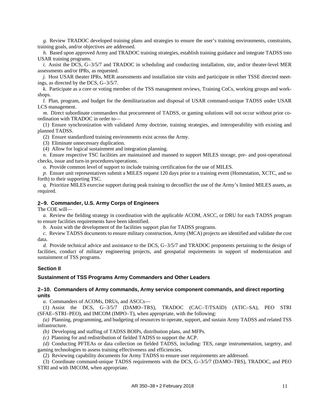*g.* Review TRADOC developed training plans and strategies to ensure the user's training environments, constraints, training goals, and/or objectives are addressed.

*h.* Based upon approved Army and TRADOC training strategies, establish training guidance and integrate TADSS into USAR training programs.

*i.* Assist the DCS, G–3/5/7 and TRADOC in scheduling and conducting installation, site, and/or theater-level MER assessments and/or IPRs, as requested.

*j.* Host USAR theater IPRs, MER assessments and installation site visits and participate in other TSSE directed meetings, as directed by the DCS, G–3/5/7.

*k.* Participate as a core or voting member of the TSS management reviews, Training CoCs, working groups and workshops.

*l.* Plan, program, and budget for the demilitarization and disposal of USAR command-unique TADSS under USAR LCS management.

*m.* Direct subordinate commanders that procurement of TADSS, or gaming solutions will not occur without prior coordination with TRADOC in order to—

(1) Ensure synchronization with validated Army doctrine, training strategies, and interoperability with existing and planned TADSS.

(2) Ensure standardized training environments exist across the Army.

(3) Eliminate unnecessary duplication.

(4) Allow for logical sustainment and integration planning.

*n.* Ensure respective TSC facilities are maintained and manned to support MILES storage, pre- and post-operational checks, issue and turn-in procedures/operations.

*o.* Provide common level of support to include training certification for the use of MILES.

*p.* Ensure unit representatives submit a MILES request 120 days prior to a training event (Homestation, XCTC, and so forth) to their supporting TSC.

*q.* Prioritize MILES exercise support during peak training to deconflict the use of the Army's limited MILES assets, as required.

# <span id="page-16-0"></span>**2–9. Commander, U.S. Army Corps of Engineers**

The COE will—

*a.* Review the fielding strategy in coordination with the applicable ACOM, ASCC, or DRU for each TADSS program to ensure facilities requirements have been identified.

*b.* Assist with the development of the facilities support plan for TADSS programs.

*c.* Review TADSS documents to ensure military construction, Army (MCA) projects are identified and validate the cost data.

*d.* Provide technical advice and assistance to the DCS, G–3/5/7 and TRADOC proponents pertaining to the design of facilities, conduct of military engineering projects, and geospatial requirements in support of modernization and sustainment of TSS programs.

#### **Section II**

#### <span id="page-16-2"></span><span id="page-16-1"></span>**Sustainment of TSS Programs Army Commanders and Other Leaders**

# **2–10. Commanders of Army commands, Army service component commands, and direct reporting units**

*a.* Commanders of ACOMs, DRUs, and ASCCs—

(1) Assist the DCS, G–3/5/7 (DAMO–TRS), TRADOC (CAC–T/TSAID) (ATIC–SA), PEO STRI (SFAE–STRI–PEO), and IMCOM (IMPO–T), when appropriate, with the following:

*(a)* Planning, programming, and budgeting of resources to operate, support, and sustain Army TADSS and related TSS infrastructure.

*(b)* Developing and staffing of TADSS BOIPs, distribution plans, and MFPs.

*(c)* Planning for and redistribution of fielded TADSS to support the ACP.

*(d)* Conducting PFTEAs or data collection on fielded TADSS, including: TES, range instrumentation, targetry, and gaming technologies to assess training effectiveness and efficiencies.

(2) Reviewing capability documents for Army TADSS to ensure user requirements are addressed.

(3) Coordinate command-unique TADSS requirements with the DCS, G–3/5/7 (DAMO–TRS), TRADOC, and PEO STRI and with IMCOM, when appropriate.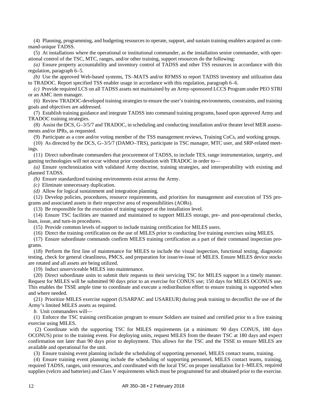(4) Planning, programming, and budgeting resources to operate, support, and sustain training enablers acquired as command-unique TADSS.

(5) At installations where the operational or institutional commander, as the installation senior commander, with operational control of the TSC, MTC, ranges, and/or other training, support resources do the following:

*(a)* Ensure property accountability and inventory control of TADSS and other TSS resources in accordance with this regulation[, paragraph](#page-34-2) 6–5.

*(b)* Use the approved Web-based systems, TS–MATS and/or RFMSS to report TADSS inventory and utilization data to TRADOC. Report specified TSS enabler usage in accordance with this regulation, [paragraph](#page-35-0) 6–6.

*(c)* Provide required LCS on all TADSS assets not maintained by an Army-sponsored LCCS Program under PEO STRI or an AMC item manager.

(6) Review TRADOC-developed training strategies to ensure the user's training environments, constraints, and training goals and objectives are addressed.

(7) Establish training guidance and integrate TADSS into command training programs, based upon approved Army and TRADOC training strategies.

(8) Assist the DCS, G–3/5/7 and TRADOC, in scheduling and conducting installation and/or theater level MER assessments and/or IPRs, as requested.

(9) Participate as a core and/or voting member of the TSS management reviews, Training CoCs, and working groups.

(10) As directed by the DCS, G–3/5/7 (DAMO–TRS), participate in TSC manager, MTC user, and SRP-related meetings.

(11) Direct subordinate commanders that procurement of TADSS, to include TES, range instrumentation, targetry, and gaming technologies will not occur without prior coordination with TRADOC in order to—

*(a)* Ensure synchronization with validated Army doctrine, training strategies, and interoperability with existing and planned TADSS.

*(b)* Ensure standardized training environments exist across the Army.

*(c)* Eliminate unnecessary duplication.

*(d)* Allow for logical sustainment and integration planning.

(12) Develop policies, procedures, resource requirements, and priorities for management and execution of TSS programs and associated assets in their respective area of responsibilities (AORs).

(13) Be responsible for the execution of training support at the installation level.

(14) Ensure TSC facilities are manned and maintained to support MILES storage, pre- and post-operational checks, loan, issue, and turn-in procedures.

(15) Provide common levels of support to include training certification for MILES users.

(16) Direct the training certification on the use of MILES prior to conducting live training exercises using MILES.

(17) Ensure subordinate commands confirm MILES training certification as a part of their command inspection programs.

(18) Perform the first line of maintenance for MILES to include the visual inspection, functional testing, diagnostic testing, check for general cleanliness, PMCS, and preparation for issue/re-issue of MILES. Ensure MILES device stocks are rotated and all assets are being utilized.

(19) Induct unserviceable MILES into maintenance.

(20) Direct subordinate units to submit their requests to their servicing TSC for MILES support in a timely manner. Request for MILES will be submitted 90 days prior to an exercise for CONUS use; 150 days for MILES OCONUS use. This enables the TSSE ample time to coordinate and execute a redistribution effort to ensure training is supported when and where needed.

(21) Prioritize MILES exercise support (USARPAC and USAREUR) during peak training to deconflict the use of the Army's limited MILES assets as required.

*b.* Unit commanders will—

(1) Enforce the TSC training certification program to ensure Soldiers are trained and certified prior to a live training exercise using MILES.

(2) Coordinate with the supporting TSC for MILES requirements (at a minimum: 90 days CONUS, 180 days OCONUS) prior to the training event. For deploying units, request MILES from the theater TSC at 180 days and expect confirmation not later than 90 days prior to deployment. This allows for the TSC and the TSSE to ensure MILES are available and operational for the unit.

(3) Ensure training event planning include the scheduling of supporting personnel, MILES contact teams, training.

(4) Ensure training event planning include the scheduling of supporting personnel, MILES contact teams, training, required TADSS, ranges, unit resources, and coordinated with the local TSC on proper installation for I–MILES, required supplies (velcro and batteries) and Class V requirements which must be programmed for and obtained prior to the exercise.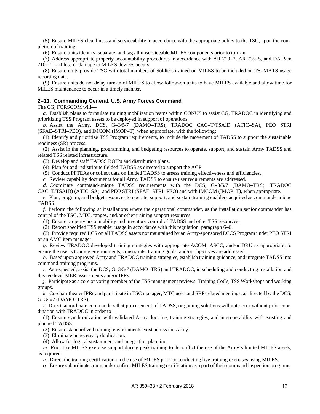(5) Ensure MILES cleanliness and serviceability in accordance with the appropriate policy to the TSC, upon the completion of training.

(6) Ensure units identify, separate, and tag all unserviceable MILES components prior to turn-in.

<span id="page-18-2"></span>(7) Address appropriate property accountability procedures in accordance with AR 710–2, AR 735–5, and DA Pam 710–2–1, if loss or damage to MILES devices occurs.

(8) Ensure units provide TSC with total numbers of Soldiers trained on MILES to be included on TS–MATS usage reporting data.

(9) Ensure units do not delay turn-in of MILES to allow follow-on units to have MILES available and allow time for MILES maintenance to occur in a timely manner.

#### <span id="page-18-0"></span>**2–11. Commanding General, U.S. Army Forces Command**

The CG, FORSCOM will—

<span id="page-18-1"></span>*a.* Establish plans to formulate training mobilization teams within CONUS to assist CG, TRADOC in identifying and prioritizing TSS Program assets to be deployed in support of operations.

*b.* Assist the Army, DCS, G–3/5/7 (DAMO–TRS), TRADOC CAC–T/TSAID (ATIC–SA), PEO STRI (SFAE–STRI–PEO), and IMCOM (IMOP–T), when appropriate, with the following:

(1) Identify and prioritize TSS Program requirements, to include the movement of TADSS to support the sustainable readiness (SR) process.

(2) Assist in the planning, programming, and budgeting resources to operate, support, and sustain Army TADSS and related TSS related infrastructure.

(3) Develop and staff TADSS BOIPs and distribution plans.

(4) Plan for and redistribute fielded TADSS as directed to support the ACP.

(5) Conduct PFTEAs or collect data on fielded TADSS to assess training effectiveness and efficiencies.

*c.* Review capability documents for all Army TADSS to ensure user requirements are addressed.

*d.* Coordinate command-unique TADSS requirements with the DCS, G–3/5/7 (DAMO–TRS), TRADOC CAC–T/TSAID) (ATIC–SA), and PEO STRI (SFAE–STRI–PEO) and with IMCOM (IMOP–T), when appropriate.

*e.* Plan, program, and budget resources to operate, support, and sustain training enablers acquired as command- unique TADSS.

*f.* Perform the following at installations where the operational commander, as the installation senior commander has control of the TSC, MTC, ranges, and/or other training support resources:

(1) Ensure property accountability and inventory control of TADSS and other TSS resources.

(2) Report specified TSS enabler usage in accordance with this regulation, [paragraph](#page-35-0) 6–6.

(3) Provide required LCS on all TADSS assets not maintained by an Army-sponsored LCCS Program under PEO STRI or an AMC item manager.

*g.* Review TRADOC developed training strategies with appropriate ACOM, ASCC, and/or DRU as appropriate, to ensure the user's training environments, constraints, training goals, and/or objectives are addressed.

*h.* Based upon approved Army and TRADOC training strategies, establish training guidance, and integrate TADSS into command training programs.

*i.* As requested, assist the DCS, G-3/5/7 (DAMO–TRS) and TRADOC, in scheduling and conducting installation and theater-level MER assessments and/or IPRs.

*j.* Participate as a core or voting member of the TSS management reviews, Training CoCs, TSS Workshops and working groups.

*k.* Co-chair theater IPRs and participate in TSC manager, MTC user, and SRP-related meetings, as directed by the DCS, G–3/5/7 (DAMO–TRS).

*l.* Direct subordinate commanders that procurement of TADSS, or gaming solutions will not occur without prior coordination with TRADOC in order to—

(1) Ensure synchronization with validated Army doctrine, training strategies, and interoperability with existing and planned TADSS.

(2) Ensure standardized training environments exist across the Army.

(3) Eliminate unnecessary duplication.

(4) Allow for logical sustainment and integration planning.

*m.* Prioritize MILES exercise support during peak training to deconflict the use of the Army's limited MILES assets, as required.

*n.* Direct the training certification on the use of MILES prior to conducting live training exercises using MILES.

*o.* Ensure subordinate commands confirm MILES training certification as a part of their command inspection programs.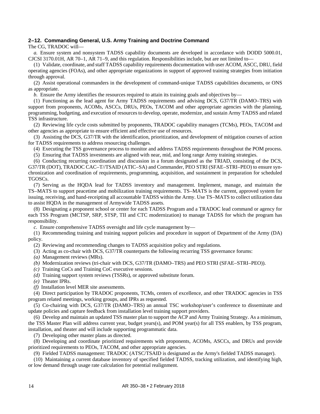# <span id="page-19-0"></span>**2–12. Commanding General, U.S. Army Training and Doctrine Command**

The CG, TRADOC will—

*a.* Ensure system and nonsystem TADSS capability documents are developed in accordance with DODD 5000.01, CJCSI 3170.01H, AR 70–1, AR 71–9, and this regulation. Responsibilities include, but are not limited to—

(1) Validate, coordinate, and staff TADSS capability requirements documentation with user ACOM, ASCC, DRU, field operating agencies (FOAs), and other appropriate organizations in support of approved training strategies from initiation through approval.

(2) Assist operational commanders in the development of command-unique TADSS capabilities documents, or ONS as appropriate.

*b.* Ensure the Army identifies the resources required to attain its training goals and objectives by—

(1) Functioning as the lead agent for Army TADSS requirements and advising DCS, G37/TR (DAMO–TRS) with support from proponents, ACOMs, ASCCs, DRUs, PEOs, TACOM and other appropriate agencies with the planning, programming, budgeting, and execution of resources to develop, operate, modernize, and sustain Army TADSS and related TSS infrastructure.

(2) Reviewing life cycle costs submitted by proponents, TRADOC capability managers (TCMs), PEOs, TACOM and other agencies as appropriate to ensure efficient and effective use of resources.

(3) Assisting the DCS, G37/TR with the identification, prioritization, and development of mitigation courses of action for TADSS requirements to address resourcing challenges.

(4) Executing the TSS governance process to monitor and address TADSS requirements throughout the POM process.

(5) Ensuring that TADSS investments are aligned with near, mid, and long range Army training strategies.

(6) Conducting recurring coordination and discussion in a forum designated as the TRIAD, consisting of the DCS, G37/TR (DOT), TRADOC CAC–T//TSAID (ATIC–SA) and Commander, PEO STRI (SFAE–STRI–PEO) to ensure synchronization and coordination of requirements, programming, acquisition, and sustainment in preparation for scheduled TGOSCs.

(7) Serving as the HQDA lead for TADSS inventory and management. Implement, manage, and maintain the TS–MATS to support peacetime and mobilization training requirements. TS–MATS is the current, approved system for issuing, receiving, and hand-receipting all accountable TADSS within the Army. Use TS–MATS to collect utilization data to assist HQDA in the management of Armywide TADSS assets.

(8) Designating a proponent school or center for each TADSS Program and a TRADOC lead command or agency for each TSS Program (MCTSP, SRP, STSP, TII and CTC modernization) to manage TADSS for which the program has responsibility.

*c.* Ensure comprehensive TADSS oversight and life cycle management by—

(1) Recommending training and training support policies and procedure in support of Department of the Army (DA) policy.

(2) Reviewing and recommending changes to TADSS acquisition policy and regulations.

(3) Acting as co-chair with DCS, G37/TR counterparts the following recurring TSS governance forums:

*(a)* Management reviews (MRs).

*(b)* Modernization reviews (tri-chair with DCS, G37/TR (DAMO–TRS) and PEO STRI (SFAE–STRI–PEO)).

*(c)* Training CoCs and Training CoC executive sessions.

*(d)* Training support system reviews (TSSRs), or approved substitute forum.

*(e)* Theater IPRs.

*(f)* Installation level MER site assessments.

(4) Direct participation by TRADOC proponents, TCMs, centers of excellence, and other TRADOC agencies in TSS program related meetings, working groups, and IPRs as requested.

(5) Co-chairing with DCS, G37/TR (DAMO–TRS) an annual TSC workshop/user's conference to disseminate and update policies and capture feedback from installation level training support providers.

(6) Develop and maintain an updated TSS master plan to support the ACP and Army Training Strategy. As a minimum, the TSS Master Plan will address current year, budget years(s), and POM year(s) for all TSS enablers, by TSS program, installation, and theater and will include supporting programmatic data.

(7) Developing other master plans as directed.

(8) Developing and coordinate prioritized requirements with proponents, ACOMs, ASCCs, and DRUs and provide prioritized requirements to PEOs, TACOM, and other appropriate agencies.

(9) Fielded TADSS management: TRADOC (ATSC/TSAID is designated as the Army's fielded TADSS manager).

(10) Maintaining a current database inventory of specified fielded TADSS, tracking utilization, and identifying high, or low demand through usage rate calculation for potential realignment.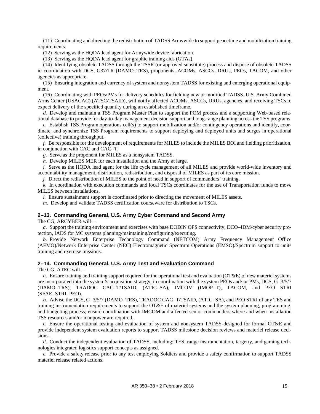(11) Coordinating and directing the redistribution of TADSS Armywide to support peacetime and mobilization training requirements.

(12) Serving as the HQDA lead agent for Armywide device fabrication.

(13) Serving as the HQDA lead agent for graphic training aids (GTAs).

(14) Identifying obsolete TADSS through the TSSR (or approved substitute) process and dispose of obsolete TADSS in coordination with DCS, G37/TR (DAMO–TRS), proponents, ACOMs, ASCCs, DRUs, PEOs, TACOM, and other agencies as appropriate.

(15) Ensuring integration and currency of system and nonsystem TADSS for existing and emerging operational equipment.

(16) Coordinating with PEOs/PMs for delivery schedules for fielding new or modified TADSS. U.S. Army Combined Arms Center (USACAC) (ATSC/TSAID), will notify affected ACOMs, ASCCs, DRUs, agencies, and receiving TSCs to expect delivery of the specified quantity during an established timeframe.

*d.* Develop and maintain a TSS Program Master Plan to support the POM process and a supporting Web-based relational database to provide for day-to-day management decision support and long-range planning across the TSS programs.

*e.* Establish TSS Program operations cell(s) to support mobilization and/or contingency operations and identify, coordinate, and synchronize TSS Program requirements to support deploying and deployed units and surges in operational (collective) training throughput.

*f.* Be responsible for the development of requirements for MILES to include the MILES BOI and fielding prioritization, in conjunction with CAC and CAC–T.

*g.* Serve as the proponent for MILES as a nonsystem TADSS.

*h.* Develop MILES MER for each installation and the Army at large.

*i.* Serve as the HQDA lead agent for the life cycle management of all MILES and provide world-wide inventory and accountability management, distribution, redistribution, and disposal of MILES as part of its core mission.

*j.* Direct the redistribution of MILES to the point of need in support of commanders' training.

*k.* In coordination with execution commands and local TSCs coordinates for the use of Transportation funds to move MILES between installations.

*l.* Ensure sustainment support is coordinated prior to directing the movement of MILES assets.

*m.* Develop and validate TADSS certification courseware for distribution to TSCs.

# <span id="page-20-0"></span>**2–13. Commanding General, U.S. Army Cyber Command and Second Army**

The CG, ARCYBER will—

*a.* Support the training environment and exercises with base DODIN OPS connectivity, DCO–IDM/cyber security protection, IADS for MC systems planning/maintaining/configuring/executing.

*b.* Provide Network Enterprise Technology Command (NETCOM) Army Frequency Management Office (AFMO)/Network Enterprise Center (NEC) Electromagnetic Spectrum Operations (EMSO)/Spectrum support to units training and exercise missions.

#### <span id="page-20-1"></span>**2–14. Commanding General, U.S. Army Test and Evaluation Command**

The CG, ATEC will—

*a.* Ensure training and training support required for the operational test and evaluation (OT&E) of new materiel systems are incorporated into the system's acquisition strategy, in coordination with the system PEOs and/ or PMs, DCS, G–3/5/7 (DAMO–TRS), TRADOC CAC–T/TSAID, (ATIC–SA), IMCOM (IMOP–T), TACOM, and PEO STRI (SFAE–STRI–PEO).

*b.* Advise the DCS, G–3/5/7 (DAMO–TRS), TRADOC CAC–T/TSAID, (ATIC–SA), and PEO STRI of any TES and training instrumentation requirements to support the OT&E of materiel systems and the system planning, programming, and budgeting process; ensure coordination with IMCOM and affected senior commanders where and when installation TSS resources and/or manpower are required.

*c.* Ensure the operational testing and evaluation of system and nonsystem TADSS designed for formal OT&E and provide independent system evaluation reports to support TADSS milestone decision reviews and materiel release decisions.

*d.* Conduct the independent evaluation of TADSS, including: TES, range instrumentation, targetry, and gaming technologies integrated logistics support concepts as assigned.

*e.* Provide a safety release prior to any test employing Soldiers and provide a safety confirmation to support TADSS materiel release related actions.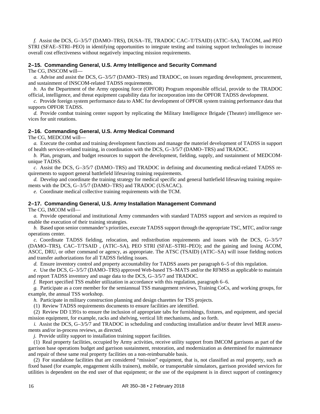*f.* Assist the DCS, G–3/5/7 (DAMO–TRS), DUSA–TE, TRADOC CAC–T/TSAID) (ATIC–SA), TACOM, and PEO STRI (SFAE–STRI–PEO) in identifying opportunities to integrate testing and training support technologies to increase overall cost effectiveness without negatively impacting mission requirements.

#### <span id="page-21-0"></span>**2–15. Commanding General, U.S. Army Intelligence and Security Command**

The CG, INSCOM will—

*a.* Advise and assist the DCS, G–3/5/7 (DAMO–TRS) and TRADOC, on issues regarding development, procurement, and sustainment of INSCOM-related TADSS requirements.

*b.* As the Department of the Army opposing force (OPFOR) Program responsible official, provide to the TRADOC official, intelligence, and threat equipment capability data for incorporation into the OPFOR TADSS development.

*c.* Provide foreign system performance data to AMC for development of OPFOR system training performance data that supports OPFOR TADSS.

*d.* Provide combat training center support by replicating the Military Intelligence Brigade (Theater) intelligence services for unit rotations.

# <span id="page-21-1"></span>**2–16. Commanding General, U.S. Army Medical Command**

The CG, MEDCOM will—

*a.* Execute the combat and training development functions and manage the materiel development of TADSS in support of health services-related training, in coordination with the DCS, G–3/5/7 (DAMO–TRS) and TRADOC.

*b.* Plan, program, and budget resources to support the development, fielding, supply, and sustainment of MEDCOMunique TADSS.

*c.* Assist the DCS, G–3/5/7 (DAMO–TRS) and TRADOC in defining and documenting medical-related TADSS requirements to support general battlefield lifesaving training requirements.

*d.* Develop and coordinate the training strategy for medical specific and general battlefield lifesaving training requirements with the DCS, G–3/5/7 (DAMO–TRS) and TRADOC (USACAC).

*e.* Coordinate medical collective training requirements with the TCM.

# <span id="page-21-2"></span>**2–17. Commanding General, U.S. Army Installation Management Command**

The CG, IMCOM will—

*a.* Provide operational and institutional Army commanders with standard TADSS support and services as required to enable the execution of their training strategies.

*b.* Based upon senior commander's priorities, execute TADSS support through the appropriate TSC, MTC, and/or range operations center.

*c.* Coordinate TADSS fielding, relocation, and redistribution requirements and issues with the DCS, G–3/5/7 (DAMO–TRS), CAC–T/TSAID , (ATIC–SA), PEO STRI (SFAE–STRI–PEO); and the gaining and losing ACOM, ASCC, DRU, or other command or agency, as appropriate. The ATSC (TSAID) (ATIC–SA) will issue fielding notices and transfer authorizations for all TADSS fielding issues.

*d.* Ensure inventory control and property accountability for TADSS assets per [paragraph](#page-34-2) 6–5 of this regulation.

*e.* Use the DCS, G–3/5/7 (DAMO–TRS) approved Web-based TS–MATS and/or the RFMSS as applicable to maintain and report TADSS inventory and usage data to the DCS, G–3/5/7 and TRADOC.

*f.* Report specified TSS enabler utilization in accordance with this regulation, [paragraph](#page-35-0) 6–6.

*g.* Participate as a core member for the semiannual TSS management reviews, Training CoCs, and working groups, for example, the annual TSS workshop.

*h.* Participate in military construction planning and design charettes for TSS projects.

(1) Review TADSS requirements documents to ensure facilities are identified.

(2) Review DD 1391s to ensure the inclusion of appropriate tabs for furnishings, fixtures, and equipment, and special mission equipment, for example, racks and shelving, vertical lift mechanisms, and so forth.

*i.* Assist the DCS, G–3/5/7 and TRADOC in scheduling and conducting installation and/or theater level MER assessments and/or in-process reviews, as directed.

*j.* Provide utility support to installation training support facilities.

(1) Real property facilities, occupied by Army activities, receive utility support from IMCOM garrisons as part of the garrison base operations budget and garrison sustainment, restoration, and modernization as determined for maintenance and repair of these same real property facilities on a non-reimbursable basis.

(2) For standalone facilities that are considered "mission" equipment, that is, not classified as real property, such as fixed based (for example, engagement skills trainers), mobile, or transportable simulators, garrison provided services for utilities is dependent on the end user of that equipment; or the use of the equipment is in direct support of contingency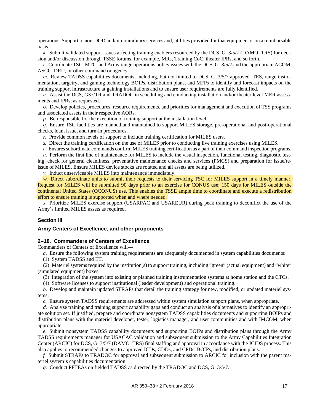operations. Support to non-DOD and/or nonmilitary services and, utilities provided for that equipment is on a reimbursable basis.

*k.* Submit validated support issues affecting training enablers resourced by the DCS, G–3/5/7 (DAMO–TRS) for decision and/or discussion through TSSE forums, for example, MRs, Training CoC, theater IPRs, and so forth.

*l.* Coordinate TSC, MTC, and Army range operations policy issues with the DCS,  $G$ –3/5/7 and the appropriate ACOM, ASCC, DRU, or other command or agency.

*m.* Review TADSS capabilities documents, including, but not limited to DCS, G-3/5/7 approved TES, range instrumentation, targetry, and gaming technology BOIPs, distribution plans, and MFPs to identify and forecast impacts on the training support infrastructure at gaining installations and to ensure user requirements are fully identified.

*n.* Assist the DCS, G37/TR and TRADOC in scheduling and conducting installation and/or theater level MER assessments and IPRs, as requested.

*o.* Develop policies, procedures, resource requirements, and priorities for management and execution of TSS programs and associated assets in their respective AORs.

*p.* Be responsible for the execution of training support at the installation level.

*q.* Ensure TSC facilities are manned and maintained to support MILES storage, pre-operational and post-operational checks, loan, issue, and turn-in procedures.

*r.* Provide common levels of support to include training certification for MILES users.

*s.* Direct the training certification on the use of MILES prior to conducting live training exercises using MILES.

*t.* Ensures subordinate commands confirm MILES training certification as a part of their command inspection programs.

*u.* Perform the first line of maintenance for MILES to include the visual inspection, functional testing, diagnostic testing, check for general cleanliness, preventative maintenance checks and services (PMCS) and preparation for issue/reissue of MILES. Ensure MILES device stocks are rotated and all assets are being utilized.

*v.* Induct unserviceable MILES into maintenance immediately.

*w.* Direct subordinate units to submit their requests to their servicing TSC for MILES support in a timely manner. Request for MILES will be submitted 90 days prior to an exercise for CONUS use; 150 days for MILES outside the continental United States (OCONUS) use. This enables the TSSE ample time to coordinate and execute a redistribution effort to ensure training is supported when and where needed.

*x.* Prioritize MILES exercise support (USARPAC and USAREUR) during peak training to deconflict the use of the Army's limited MILES assets as required.

# **Section III**

#### <span id="page-22-1"></span><span id="page-22-0"></span>**Army Centers of Excellence, and other proponents**

# **2–18. Commanders of Centers of Excellence**

Commanders of Centers of Excellence will—

*a.* Ensure the following system training requirements are adequately documented in system capabilities documents:

(1) System TADSS and ET.

(2) Materiel systems required by the institution(s) to support training, including "green" (actual equipment) and "white" (simulated equipment) boxes.

(3) Integration of the system into existing or planned training instrumentation systems at home station and the CTCs.

(4) Software licenses to support institutional (leader development) and operational training.

*b.* Develop and maintain updated STRAPs that detail the training strategy for new, modified, or updated materiel systems.

*c.* Ensure system TADSS requirements are addressed within system simulation support plans, when appropriate.

*d.* Analyze training and training support capability gaps and conduct an analysis of alternatives to identify an appropriate solution set. If justified, prepare and coordinate nonsystem TADSS capabilities documents and supporting BOIPs and distribution plans with the materiel developer, tester, logistics manager, and user communities and with IMCOM, when appropriate.

*e.* Submit nonsystem TADSS capability documents and supporting BOIPs and distribution plans through the Army TADSS requirements manager for USACAC validation and subsequent submission to the Army Capabilities Integration Center (ARCIC) for DCS, G–3/5/7 (DAMO–TRS) final staffing and approval in accordance with the JCIDS process. This also applies to recommended changes to approved ICDs, CDDs, and CPDs, BOIPs, and distribution plans.

*f.* Submit STRAPs to TRADOC for approval and subsequent submission to ARCIC for inclusion with the parent materiel system's capabilities documentation.

*g.* Conduct PFTEAs on fielded TADSS as directed by the TRADOC and DCS, G–3/5/7.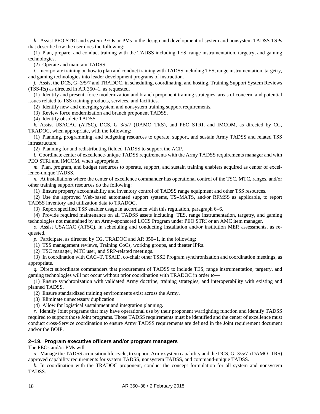*h.* Assist PEO STRI and system PEOs or PMs in the design and development of system and nonsystem TADSS TSPs that describe how the user does the following:

(1) Plan, prepare, and conduct training with the TADSS including TES, range instrumentation, targetry, and gaming technologies.

(2) Operate and maintain TADSS.

*i.* Incorporate training on how to plan and conduct training with TADSS including TES, range instrumentation, targetry, and gaming technologies into leader development programs of instruction.

*j.* Assist the DCS, G–3/5/7 and TRADOC, in scheduling, coordinating, and hosting, Training Support System Reviews (TSS-Rs) as directed in AR 350–1, as requested.

(1) Identify and present; force modernization and branch proponent training strategies, areas of concern, and potential issues related to TSS training products, services, and facilities.

(2) Identify new and emerging system and nonsystem training support requirements.

(3) Review force modernization and branch proponent TADSS.

(4) Identify obsolete TADSS.

*k.* Assist USACAC (ATSC), DCS, G–3/5/7 (DAMO–TRS), and PEO STRI, and IMCOM, as directed by CG, TRADOC, when appropriate, with the following:

(1) Planning, programming, and budgeting resources to operate, support, and sustain Army TADSS and related TSS infrastructure.

(2) Planning for and redistributing fielded TADSS to support the ACP.

*l.* Coordinate center of excellence-unique TADSS requirements with the Army TADSS requirements manager and with PEO STRI and IMCOM, when appropriate.

*m.* Plan, program, and budget resources to operate, support, and sustain training enablers acquired as center of excellence-unique TADSS.

*n.* At installations where the center of excellence commander has operational control of the TSC, MTC, ranges, and/or other training support resources do the following:

(1) Ensure property accountability and inventory control of TADSS range equipment and other TSS resources.

(2) Use the approved Web-based automated support systems, TS–MATS, and/or RFMSS as applicable, to report TADSS inventory and utilization data to TRADOC.

(3) Report specified TSS enabler usage in accordance with this regulation, [paragraph](#page-35-0) 6–6.

(4) Provide required maintenance on all TADSS assets including: TES, range instrumentation, targetry, and gaming technologies not maintained by an Army-sponsored LCCS Program under PEO STRI or an AMC item manager.

*o.* Assist USACAC (ATSC), in scheduling and conducting installation and/or institution MER assessments, as requested.

*p.* Participate, as directed by CG, TRADOC and AR 350–1, in the following:

(1) TSS management reviews, Training CoCs, working groups, and theater IPRs.

(2) TSC manager, MTC user, and SRP-related meetings.

(3) In coordination with CAC–T, TSAID, co-chair other TSSE Program synchronization and coordination meetings, as appropriate.

*q.* Direct subordinate commanders that procurement of TADSS to include TES, range instrumentation, targetry, and gaming technologies will not occur without prior coordination with TRADOC in order to—

(1) Ensure synchronization with validated Army doctrine, training strategies, and interoperability with existing and planned TADSS.

(2) Ensure standardized training environments exist across the Army.

(3) Eliminate unnecessary duplication.

(4) Allow for logistical sustainment and integration planning.

*r.* Identify Joint programs that may have operational use by their proponent warfighting function and identify TADSS required to support those Joint programs. Those TADSS requirements must be identified and the center of excellence must conduct cross-Service coordination to ensure Army TADSS requirements are defined in the Joint requirement document and/or the BOIP.

# <span id="page-23-0"></span>**2–19. Program executive officers and/or program managers**

The PEOs and/or PMs will—

*a.* Manage the TADSS acquisition life cycle, to support Army system capability and the DCS, G–3/5/7 (DAMO–TRS) approved capability requirements for system TADSS, nonsystem TADSS, and command-unique TADSS.

*b.* In coordination with the TRADOC proponent, conduct the concept formulation for all system and nonsystem TADSS.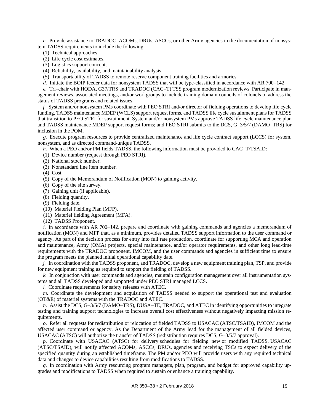*c.* Provide assistance to TRADOC, ACOMs, DRUs, ASCCs, or other Army agencies in the documentation of nonsystem TADSS requirements to include the following:

- (1) Technical approaches.
- (2) Life cycle cost estimates.
- (3) Logistics support concepts.
- (4) Reliability, availability, and maintainability analysis.
- (5) Transportability of TADSS to remote reserve component training facilities and armories.
- *d.* Initiate the BOIP feeder data for nonsystem TADSS that will be type-classified in accordance with AR 700–142.

*e.* Tri–chair with HQDA, G37/TRS and TRADOC (CAC–T) TSS program modernization reviews. Participate in management reviews, associated meetings, and/or workgroups to include training domain councils of colonels to address the status of TADSS programs and related issues.

*f.* System and/or nonsystem PMs coordinate with PEO STRI and/or director of fielding operations to develop life cycle funding, TADSS maintenance MDEP (WCLS) support request forms, and TADSS life cycle sustainment plans for TADSS that transition to PEO STRI for sustainment. System and/or nonsystem PMs approve TADSS life cycle maintenance plan and TADSS maintenance MDEP support request forms; and PEO STRI submits to the DCS, G–3/5/7 (DAMO–TRS) for inclusion in the POM.

*g.* Execute program resources to provide centralized maintenance and life cycle contract support (LCCS) for system, nonsystem, and as directed command-unique TADSS.

- *h.* When a PEO and/or PM fields TADSS, the following information must be provided to CAC–T/TSAID:
- (1) Device number (request through PEO STRI).
- (2) National stock number.
- (3) Nonstandard line item number.
- (4) Cost.
- (5) Copy of the Memorandum of Notification (MON) to gaining activity.
- (6) Copy of the site survey.
- (7) Gaining unit (if applicable).
- (8) Fielding quantity.
- (9) Fielding date.
- (10) Materiel Fielding Plan (MFP).
- (11) Materiel fielding Agreement (MFA).
- (12) TADSS Proponent.

*i.* In accordance with AR 700–142, prepare and coordinate with gaining commands and agencies a memorandum of notification (MON) and MFP that, as a minimum, provides detailed TADSS support information to the user command or agency. As part of the decision process for entry into full rate production, coordinate for supporting MCA and operation and maintenance, Army (OMA) projects, special maintenance, and/or operator requirements, and other long lead-time requirements with the TRADOC proponent, IMCOM, and the user commands and agencies in sufficient time to ensure the program meets the planned initial operational capability date.

*j.* In coordination with the TADSS proponent, and TRADOC, develop a new equipment training plan, TSP, and provide for new equipment training as required to support the fielding of TADSS.

*k.* In conjunction with user commands and agencies, maintain configuration management over all instrumentation systems and all TADSS developed and supported under PEO STRI managed LCCS.

*l.* Coordinate requirements for safety releases with ATEC.

*m.* Coordinate the development and acquisition of TADSS needed to support the operational test and evaluation (OT&E) of materiel systems with the TRADOC and ATEC.

*n.* Assist the DCS, G–3/5/7 (DAMO–TRS), DUSA–TE, TRADOC, and ATEC in identifying opportunities to integrate testing and training support technologies to increase overall cost effectiveness without negatively impacting mission requirements.

*o.* Refer all requests for redistribution or relocation of fielded TADSS to USACAC (ATSC/TSAID), IMCOM and the affected user command or agency. As the Department of the Army lead for the management of all fielded devices, USACAC (ATSC) will authorize the transfer of TADSS (redistribution requires DCS, G–3/5/7 approval).

*p.* Coordinate with USACAC (ATSC) for delivery schedules for fielding new or modified TADSS. USACAC (ATSC/TSAID), will notify affected ACOMs, ASCCs, DRUs, agencies and receiving TSCs to expect delivery of the specified quantity during an established timeframe. The PM and/or PEO will provide users with any required technical data and changes to device capabilities resulting from modifications to TADSS.

*q.* In coordination with Army resourcing program managers, plan, program, and budget for approved capability upgrades and modifications to TADSS when required to sustain or enhance a training capability.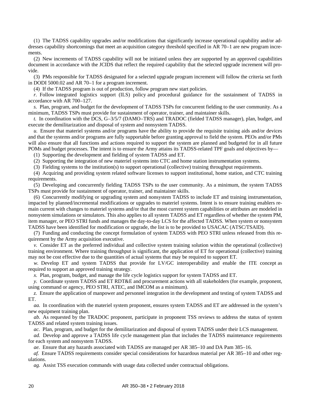(1) The TADSS capability upgrades and/or modifications that significantly increase operational capability and/or addresses capability shortcomings that meet an acquisition category threshold specified in AR 70–1 are new program increments.

(2) New increments of TADSS capability will not be initiated unless they are supported by an approved capabilities document in accordance with the JCIDS that reflect the required capability that the selected upgrade increment will provide.

(3) PMs responsible for TADSS designated for a selected upgrade program increment will follow the criteria set forth in DODI 5000.02 and AR 70–1 for a program increment.

(4) If the TADSS program is out of production, follow program new start policies.

*r.* Follow integrated logistics support (ILS) policy and procedural guidance for the sustainment of TADSS in accordance with AR 700–127.

*s.* Plan, program, and budget for the development of TADSS TSPs for concurrent fielding to the user community. As a minimum, TADSS TSPs must provide for sustainment of operator, trainer, and maintainer skills.

*t.* In coordination with the DCS, G–3/5/7 (DAMO–TRS) and TRADOC (fielded TADSS manager), plan, budget, and execute the demilitarization and disposal of system and nonsystem TADSS.

*u.* Ensure that materiel systems and/or programs have the ability to provide the requisite training aids and/or devices and that the systems and/or programs are fully supportable before granting approval to field the system. PEOs and/or PMs will also ensure that all functions and actions required to support the system are planned and budgeted for in all future POMs and budget processes. The intent is to ensure the Army attains its TADSS-related TPF goals and objectives by––

(1) Supporting the development and fielding of system TADSS and ET.

(2) Supporting the integration of new materiel systems into CTC and home station instrumentation systems.

(3) Fielding systems to the institution(s) to support operational (collective) training throughput requirements.

(4) Acquiring and providing system related software licenses to support institutional, home station, and CTC training requirements.

(5) Developing and concurrently fielding TADSS TSPs to the user community. As a minimum, the system TADSS TSPs must provide for sustainment of operator, trainer, and maintainer skills.

(6) Concurrently modifying or upgrading system and nonsystem TADSS to include ET and training instrumentation, impacted by planned/incremental modifications or upgrades to materiel systems. Intent is to ensure training enablers remain current with changes to materiel systems and/or that the most current system capabilities or attributes are modeled in nonsystem simulations or simulators. This also applies to all system TADSS and ET regardless of whether the system PM, item manager, or PEO STRI funds and manages the day-to-day LCS for the affected TADSS. When system or nonsystem TADSS have been identified for modification or upgrade, the list is to be provided to USACAC (ATSC/TSAID).

(7) Funding and conducting the concept formulation of system TADSS with PEO STRI unless released from this requirement by the Army acquisition executive.

*v.* Consider ET as the preferred individual and collective system training solution within the operational (collective) training environment. Where training throughput is significant, the application of ET for operational (collective) training may not be cost effective due to the quantities of actual systems that may be required to support ET.

*w.* Develop ET and system TADSS that provide for LV/GC interoperability and enable the ITE concept as required to support an approved training strategy.

*x.* Plan, program, budget, and manage the life cycle logistics support for system TADSS and ET.

*y.* Coordinate system TADSS and ET RDT&E and procurement actions with all stakeholders (for example, proponent, using command or agency, PEO STRI, ATEC, and IMCOM as a minimum).

*z.* Ensure the application of manpower and personnel integration in the development and testing of system TADSS and ET.

*aa.* In coordination with the materiel system proponent, ensures system TADSS and ET are addressed in the system's new equipment training plan.

*ab.* As requested by the TRADOC proponent, participate in proponent TSS reviews to address the status of system TADSS and related system training issues.

*ac.* Plan, program, and budget for the demilitarization and disposal of system TADSS under their LCS management.

*ad.* Develop and approve a TADSS life cycle management plan that includes the TADSS maintenance requirements for each system and nonsystem TADSS.

*ae.* Ensure that any hazards associated with TADSS are managed per AR 385–10 and DA Pam 385–16.

*af.* Ensure TADSS requirements consider special considerations for hazardous material per AR 385–10 and other regulations.

*ag.* Assist TSS execution commands with usage data collected under contractual obligations.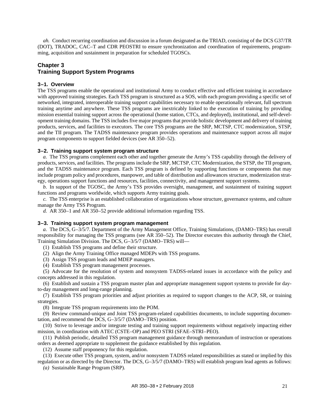*ah.* Conduct recurring coordination and discussion in a forum designated as the TRIAD, consisting of the DCS G37/TR (DOT), TRADOC, CAC–T and CDR PEOSTRI to ensure synchronization and coordination of requirements, programming, acquisition and sustainment in preparation for scheduled TGOSCs.

# <span id="page-26-1"></span>**Chapter 3 Training Support System Programs**

# <span id="page-26-2"></span>**3–1. Overview**

The TSS programs enable the operational and institutional Army to conduct effective and efficient training in accordance with approved training strategies. Each TSS program is structured as a SOS, with each program providing a specific set of networked, integrated, interoperable training support capabilities necessary to enable operationally relevant, full spectrum training anytime and anywhere. These TSS programs are inextricably linked to the execution of training by providing mission essential training support across the operational (home station, CTCs, and deployed), institutional, and self-development training domains. The TSS includes five major programs that provide holistic development and delivery of training products, services, and facilities to executors. The core TSS programs are the SRP, MCTSP, CTC modernization, STSP, and the TII program. The TADSS maintenance program provides operations and maintenance support across all major program components to support fielded devices (see AR 350–52).

# <span id="page-26-3"></span>**3–2. Training support system program structure**

<span id="page-26-0"></span>*a.* The TSS programs complement each other and together generate the Army's TSS capability through the delivery of products, services, and facilities. The programs include the SRP, MCTSP, CTC Modernization, the STSP, the TII program, and the TADSS maintenance program. Each TSS program is defined by supporting functions or components that may include program policy and procedures, manpower, and table of distribution and allowances structure, modernization strategy, operations support functions and resources, facilities, connectivity, and management support systems.

*b.* In support of the TGOSC, the Army's TSS provides oversight, management, and sustainment of training support functions and programs worldwide, which supports Army training goals.

*c.* The TSS enterprise is an established collaboration of organizations whose structure, governance systems, and culture manage the Army TSS Program.

*d.* AR 350–1 and AR 350–52 provide additional information regarding TSS.

#### <span id="page-26-4"></span>**3–3. Training support system program management**

*a.* The DCS, G–3/5/7. Department of the Army Management Office, Training Simulations, (DAMO–TRS) has overall responsibility for managing the TSS programs (see AR 350–52). The Director executes this authority through the Chief, Training Simulation Division. The DCS, G–3/5/7 (DAMO–TRS) will—

(1) Establish TSS programs and define their structure.

(2) Align the Army Training Office managed MDEPs with TSS programs.

(3) Assign TSS program leads and MDEP managers.

(4) Establish TSS program management processes.

(5) Advocate for the resolution of system and nonsystem TADSS-related issues in accordance with the policy and concepts addressed in this regulation.

(6) Establish and sustain a TSS program master plan and appropriate management support systems to provide for dayto-day management and long-range planning.

(7) Establish TSS program priorities and adjust priorities as required to support changes to the ACP, SR, or training strategies.

(8) Integrate TSS program requirements into the POM.

(9) Review command-unique and Joint TSS program-related capabilities documents, to include supporting documentation, and recommend the DCS, G–3/5/7 (DAMO–TRS) position.

(10) Strive to leverage and/or integrate testing and training support requirements without negatively impacting either mission, in coordination with ATEC (CSTE–OP) and PEO STRI (SFAE–STRI–PEO).

(11) Publish periodic, detailed TSS program management guidance through memorandum of instruction or operations orders as deemed appropriate to supplement the guidance established by this regulation.

(12) Assume staff proponency for this regulation.

(13) Execute other TSS program, system, and/or nonsystem TADSS related responsibilities as stated or implied by this regulation or as directed by the Director. The DCS, G–3/5/7 (DAMO–TRS) will establish program lead agents as follows: *(a)* Sustainable Range Program (SRP).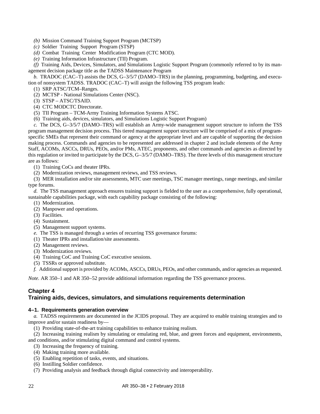*(b)* Mission Command Training Support Program (MCTSP)

- *(c)* Soldier Training Support Program (STSP)
- *(d)* Combat Training Center Modification Program (CTC MOD).
- *(e)* Training Information Infrastructure (TII) Program.

*(f)* Training Aids, Devices, Simulators, and Simulations Logistic Support Program (commonly referred to by its management decision package title as the TADSS Maintenance Program

*b.* TRADOC (CAC–T) assists the DCS, G–3/5/7 (DAMO–TRS) in the planning, programming, budgeting, and execution of nonsystem TADSS. TRADOC (CAC–T) will assign the following TSS program leads:

- (1) SRP ATSC/TCM–Ranges.
- (2) MCTSP National Simulations Center (NSC).
- (3) STSP ATSC/TSAID.
- (4) CTC MODCTC Directorate.
- (5) TII Program TCM-Army Training Information Systems ATSC.
- (6) Training aids, devices, simulators, and Simulations Logistic Support Program)

*c.* The DCS, G–3/5/7 (DAMO–TRS) will establish an Army-wide management support structure to inform the TSS program management decision process. This tiered management support structure will be comprised of a mix of programspecific SMEs that represent their command or agency at the appropriate level and are capable of supporting the decision making process. Commands and agencies to be represented are addressed in [chapter](#page-11-0) 2 and include elements of the Army Staff, ACOMs, ASCCs, DRUs, PEOs, and/or PMs, ATEC, proponents, and other commands and agencies as directed by this regulation or invited to participate by the DCS, G–3/5/7 (DAMO–TRS). The three levels of this management structure are as follows:

(1) Training CoCs and theater IPRs.

(2) Modernization reviews, management reviews, and TSS reviews.

(3) MER installation and/or site assessments, MTC user meetings, TSC manager meetings, range meetings, and similar type forums.

*d.* The TSS management approach ensures training support is fielded to the user as a comprehensive, fully operational, sustainable capabilities package, with each capability package consisting of the following:

- (1) Modernization.
- (2) Manpower and operations.
- (3) Facilities.
- (4) Sustainment.
- (5) Management support systems.

*e.* The TSS is managed through a series of recurring TSS governance forums:

- (1) Theater IPRs and installation/site assessments.
- (2) Management reviews.
- (3) Modernization reviews.
- (4) Training CoC and Training CoC executive sessions.
- (5) TSSRs or approved substitute.

*f.* Additional support is provided by ACOMs, ASCCs, DRUs, PEOs, and other commands, and/or agencies as requested.

*Note.* AR 350–1 and AR 350–52 provide additional information regarding the TSS governance process.

# **Chapter 4**

# <span id="page-27-1"></span><span id="page-27-0"></span>**Training aids, devices, simulators, and simulations requirements determination**

#### **4–1. Requirements generation overview**

*a.* TADSS requirements are documented in the JCIDS proposal. They are acquired to enable training strategies and to improve and/or sustain readiness by—

- (1) Providing state-of-the-art training capabilities to enhance training realism.
- (2) Increasing training realism by simulating or emulating red, blue, and green forces and equipment, environments, and conditions, and/or stimulating digital command and control systems.
	- (3) Increasing the frequency of training.
	- (4) Making training more available.
	- (5) Enabling repetition of tasks, events, and situations.
	- (6) Instilling Soldier confidence.
	- (7) Providing analysis and feedback through digital connectivity and interoperability.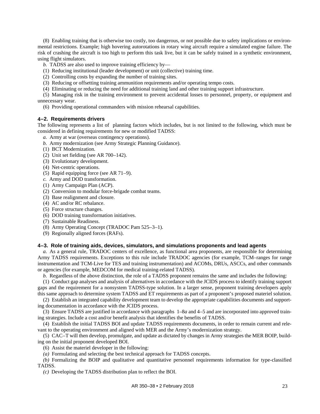(8) Enabling training that is otherwise too costly, too dangerous, or not possible due to safety implications or environmental restrictions. Example; high hovering autorotations in rotary wing aircraft require a simulated engine failure. The risk of crashing the aircraft is too high to perform this task live, but it can be safely trained in a synthetic environment, using flight simulators.

*b.* TADSS are also used to improve training efficiency by—

(1) Reducing institutional (leader development) or unit (collective) training time.

- (2) Controlling costs by expanding the number of training sites.
- (3) Reducing or offsetting training ammunition requirements and/or operating tempo costs.
- (4) Eliminating or reducing the need for additional training land and other training support infrastructure.

(5) Managing risk in the training environment to prevent accidental losses to personnel, property, or equipment and unnecessary wear.

(6) Providing operational commanders with mission rehearsal capabilities.

# <span id="page-28-0"></span>**4–2. Requirements drivers**

The following represents a list of planning factors which includes, but is not limited to the following, which must be considered in defining requirements for new or modified TADSS:

- *a.* Army at war (overseas contingency operations).
- *b.* Army modernization (see Army Strategic Planning Guidance).
- (1) BCT Modernization.
- (2) Unit set fielding (see AR 700–142).
- (3) Evolutionary development.
- (4) Net-centric operations.
- (5) Rapid equipping force (see AR 71–9).
- *c.* Army and DOD transformation.
- (1) Army Campaign Plan (ACP).
- (2) Conversion to modular force-brigade combat teams.
- (3) Base realignment and closure.
- (4) AC and/or RC rebalance.
- (5) Force structure changes.
- (6) DOD training transformation initiatives.
- (7) Sustainable Readiness.
- (8) Army Operating Concept (TRADOC Pam 525–3–1).
- (9) Regionally aligned forces (RAFs).

# <span id="page-28-1"></span>**4–3. Role of training aids, devices, simulators, and simulations proponents and lead agents**

*a.* As a general rule, TRADOC centers of excellence, as functional area proponents, are responsible for determining Army TADSS requirements. Exceptions to this rule include TRADOC agencies (for example, TCM–ranges for range instrumentation and TCM-Live for TES and training instrumentation) and ACOMs, DRUs, ASCCs, and other commands or agencies (for example, MEDCOM for medical training-related TADSS).

*b.* Regardless of the above distinction, the role of a TADSS proponent remains the same and includes the following:

(1) Conduct gap analyses and analysis of alternatives in accordance with the JCIDS process to identify training support gaps and the requirement for a nonsystem TADSS-type solution. In a larger sense, proponent training developers apply this same approach to determine system TADSS and ET requirements as part of a proponent's proposed materiel solution.

(2) Establish an integrated capability development team to develop the appropriate capabilities documents and supporting documentation in accordance with the JCIDS process.

(3) Ensure TADSS are justified in accordance with paragraphs [1–8](#page-7-3)*a* an[d 4–5](#page-30-0) and are incorporated into approved training strategies. Include a cost and/or benefit analysis that identifies the benefits of TADSS.

(4) Establish the initial TADSS BOI and update TADSS requirements documents, in order to remain current and relevant to the operating environment and aligned with MER and the Army's modernization strategy.

(5) CAC–T will then develop, promulgate, and update as dictated by changes in Army strategies the MER BOIP, building on the initial proponent developed BOI.

(6) Assist the materiel developer in the following:

*(a)* Formulating and selecting the best technical approach for TADSS concepts.

*(b)* Formalizing the BOIP and qualitative and quantitative personnel requirements information for type-classified TADSS.

*(c)* Developing the TADSS distribution plan to reflect the BOI.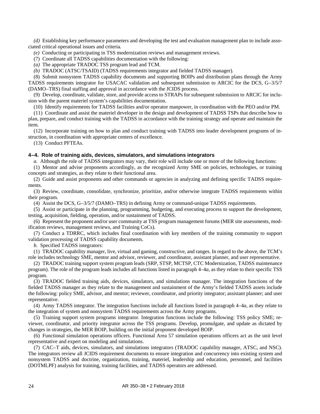*(d)* Establishing key performance parameters and developing the test and evaluation management plan to include associated critical operational issues and criteria.

*(e)* Conducting or participating in TSS modernization reviews and management reviews.

(7) Coordinate all TADSS capabilities documentation with the following:

*(a)* The appropriate TRADOC TSS program lead and TCM.

*(b)* TRADOC (ATSC/TSAID) (TADSS requirements integrator and fielded TADSS manager).

(8) Submit nonsystem TADSS capability documents and supporting BOIPs and distribution plans through the Army TADSS requirements integrator for USACAC validation and subsequent submission to ARCIC for the DCS, G–3/5/7 (DAMO–TRS) final staffing and approval in accordance with the JCIDS process.

(9) Develop, coordinate, validate, store, and provide access to STRAPs for subsequent submission to ARCIC for inclusion with the parent materiel system's capabilities documentation.

(10) Identify requirements for TADSS facilities and/or operator manpower, in coordination with the PEO and/or PM.

(11) Coordinate and assist the materiel developer in the design and development of TADSS TSPs that describe how to plan, prepare, and conduct training with the TADSS in accordance with the training strategy and operate and maintain the item.

(12) Incorporate training on how to plan and conduct training with TADSS into leader development programs of instruction, in coordination with appropriate centers of excellence.

(13) Conduct PFTEAs.

# <span id="page-29-1"></span><span id="page-29-0"></span>**4–4. Role of training aids, devices, simulators, and simulations integrators**

*a.* Although the role of TADSS integrators may vary, their role will include one or more of the following functions:

(1) Mentor and advise proponents accordingly, as the recognized Army SME on policies, technologies, or training concepts and strategies, as they relate to their functional area.

(2) Guide and assist proponents and other commands or agencies in analyzing and defining specific TADSS requirements.

(3) Review, coordinate, consolidate, synchronize, prioritize, and/or otherwise integrate TADSS requirements within their program.

(4) Assist the DCS, G–3/5/7 (DAMO–TRS) in defining Army or command-unique TADSS requirements.

(5) Assist or participate in the planning, programming, budgeting, and executing process to support the development, testing, acquisition, fielding, operation, and/or sustainment of TADSS.

(6) Represent the proponent and/or user community at TSS program management forums (MER site assessments, modification reviews, management reviews, and Training CoCs).

(7) Conduct a TDRRC, which includes final coordination with key members of the training community to support validation processing of TADSS capability documents.

*b.* Specified TADSS integrators:

(1) TRADOC capability manager, live, virtual and gaming, constructive, and ranges. In regard to the above, the TCM's role includes technology SME, mentor and advisor, reviewer, and coordinator, assistant planner, and user representative.

(2) TRADOC training support system program leads (SRP, STSP, MCTSP, CTC Modernization, TADSS maintenance program). The role of the program leads includes all functions listed in [paragraph](#page-29-1) 4–4*a*, as they relate to their specific TSS program.

(3) TRADOC fielded training aids, devices, simulators, and simulations manager. The integration functions of the fielded TADSS manager as they relate to the management and sustainment of the Army's fielded TADSS assets include the following: policy SME, advisor, and mentor; reviewer, coordinator, and priority integrator; assistant planner; and user representative.

(4) Army TADSS integrator. The integration functions include all functions listed in [paragraph](#page-29-1) 4–4*a*, as they relate to the integration of system and nonsystem TADSS requirements across the Army programs.

(5) Training support system programs integrator. Integration functions include the following: TSS policy SME; reviewer, coordinator, and priority integrator across the TSS programs. Develop, promulgate, and update as dictated by changes in strategies, the MER BOIP, building on the initial proponent developed BOIP.

(6) Functional simulation operations officers. Functional Area 57 simulation operations officers act as the unit level representative and expert on modeling and simulations.

(7) CAC–T aids, devices, simulators, and simulations integrators (TRADOC capability manager, ATSC, and NSC). The integrators review all JCIDS requirement documents to ensure integration and concurrency into existing system and nonsystem TADSS and doctrine, organization, training, materiel, leadership and education, personnel, and facilities (DOTMLPF) analysis for training, training facilities, and TADSS operators are addressed.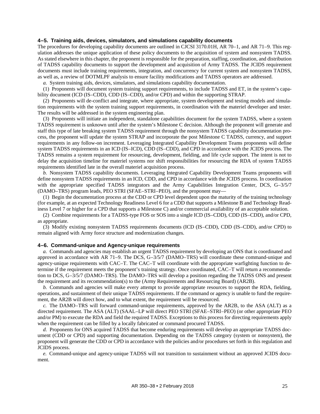#### <span id="page-30-0"></span>**4–5. Training aids, devices, simulators, and simulations capability documents**

The procedures for developing capability documents are outlined in CJCSI 3170.01H, AR 70–1, and AR 71–9. This regulation addresses the unique application of these policy documents to the acquisition of system and nonsystem TADSS. As stated elsewhere in this chapter, the proponent is responsible for the preparation, staffing, coordination, and distribution of TADSS capability documents to support the development and acquisition of Army TADSS. The JCIDS requirement documents must include training requirements, integration, and concurrency for current system and nonsystem TADSS, as well as, a review of DOTMLPF analysis to ensure facility modifications and TADSS operators are addressed.

*a.* System training aids, devices, simulators, and simulations capability documentation.

(1) Proponents will document system training support requirements, to include TADSS and ET, in the system's capability document (ICD (IS–CDD), CDD (IS–CDD), and/or CPD) and within the supporting STRAP.

(2) Proponents will de-conflict and integrate, where appropriate, system development and testing models and simulation requirements with the system training support requirements, in coordination with the materiel developer and tester. The results will be addressed in the system engineering plan.

(3) Proponents will initiate an independent, standalone capabilities document for the system TADSS, where a system TADSS requirement is unknown until after the system's Milestone C decision. Although the proponent will generate and staff this type of late breaking system TADSS requirement through the nonsystem TADSS capability documentation process, the proponent will update the system STRAP and incorporate the post Milestone C TADSS, currency, and support requirements in any follow-on increment. Leveraging Integrated Capability Development Teams proponents will define system TADSS requirements in an ICD (IS–ICD), CDD (IS–CDD), and CPD in accordance with the JCIDS process. The TADSS remains a system requirement for resourcing, development, fielding, and life cycle support. The intent is not to delay the acquisition timeline for materiel systems nor shift responsibilities for resourcing the RDA of system TADSS requirements identified late in the overall materiel acquisition process.

*b.* Nonsystem TADSS capability documents. Leveraging Integrated Capability Development Teams proponents will define nonsystem TADSS requirements in an ICD, CDD, and CPD in accordance with the JCIDS process. In coordination with the appropriate specified TADSS integrators and the Army Capabilities Integration Center, DCS, G-3/5/7 (DAMO–TRS) program leads, PEO STRI (SFAE–STRI–PEO), and the proponent may—

(1) Begin the documentation process at the CDD or CPD level dependent upon the maturity of the training technology (for example, at an expected Technology Readiness Level 6 for a CDD that supports a Milestone B and Technology Readiness Level 7 or higher for a CPD that supports a Milestone C) and/or commercial availability of an acceptable solution.

(2) Combine requirements for a TADSS-type FOS or SOS into a single ICD (IS–CDD), CDD (IS–CDD), and/or CPD, as appropriate.

(3) Modify existing nonsystem TADSS requirements documents (ICD (IS–CDD), CDD (IS–CDD), and/or CPD) to remain aligned with Army force structure and modernization changes.

#### <span id="page-30-1"></span>**4–6. Command-unique and Agency-unique requirements**

*a.* Commands and agencies may establish an urgent TADSS requirement by developing an ONS that is coordinated and approved in accordance with AR 71–9. The DCS, G–3/5/7 (DAMO–TRS) will coordinate these command-unique and agency-unique requirements with CAC–T. The CAC–T will coordinate with the appropriate warfighting function to determine if the requirement meets the proponent's training strategy. Once coordinated, CAC–T will return a recommendation to DCS, G–3/5/7 (DAMO–TRS). The DAMO–TRS will develop a position regarding the TADSS ONS and present the requirement and its recommendation(s) to the (Army Requirements and Resourcing Board) (AR2B).

*b.* Commands and agencies will make every attempt to provide appropriate resources to support the RDA, fielding, operations, and sustainment of their unique TADSS requirements. If the command or agency is unable to fund the requirement, the AR2B will direct how, and to what extent, the requirement will be resourced.

*c.* The DAMO–TRS will forward command-unique requirements, approved by the AR2B, to the ASA (ALT) as a directed requirement. The ASA (ALT) (SAAL–LP will direct PEO STRI (SFAE–STRI–PEO) (or other appropriate PEO and/or PM) to execute the RDA and field the required TADSS. Exceptions to this process for directing requirements apply when the requirement can be filled by a locally fabricated or command procured TADSS.

*d.* Proponents for ONS acquired TADSS that become enduring requirements will develop an appropriate TADSS document (CDD or CPD) and supporting documentation. Depending on the TADSS category (system or nonsystem), the proponent will generate the CDD or CPD in accordance with the policies and/or procedures set forth in this regulation and JCIDS process.

*e.* Command-unique and agency-unique TADSS will not transition to sustainment without an approved JCIDS document.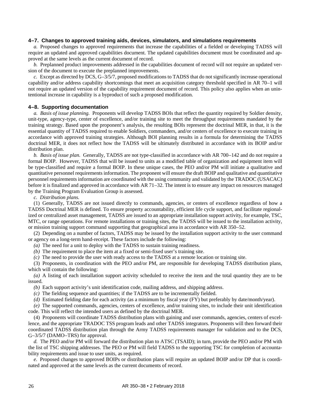# <span id="page-31-0"></span>**4–7. Changes to approved training aids, devices, simulators, and simulations requirements**

*a.* Proposed changes to approved requirements that increase the capabilities of a fielded or developing TADSS will require an updated and approved capabilities document. The updated capabilities document must be coordinated and approved at the same levels as the current document of record.

*b.* Preplanned product improvements addressed in the capabilities document of record will not require an updated version of the document to execute the preplanned improvements.

*c.* Except as directed by DCS, G–3/5/7, proposed modifications to TADSS that do not significantly increase operational capability and/or address capability shortcomings that meet an acquisition category threshold specified in AR 70–1 will not require an updated version of the capability requirement document of record. This policy also applies when an unintentional increase in capability is a byproduct of such a proposed modification.

#### <span id="page-31-1"></span>**4–8. Supporting documentation**

*a. Basis of issue planning.* Proponents will develop TADSS BOIs that reflect the quantity required by Soldier density, unit-type, agency-type, center of excellence, and/or training site to meet the throughput requirements mandated by the training strategy. Based upon the proponent's analysis, the resulting BOIs represent the doctrinal MER, in that, it is the essential quantity of TADSS required to enable Soldiers, commanders, and/or centers of excellence to execute training in accordance with approved training strategies. Although BOI planning results in a formula for determining the TADSS doctrinal MER, it does not reflect how the TADSS will be ultimately distributed in accordance with its BOIP and/or distribution plan.

*b. Basis of issue plan.* Generally, TADSS are not type-classified in accordance with AR 700–142 and do not require a formal BOIP. However, TADSS that will be issued to units as a modified table of organization and equipment item will be type-classified and require a formal BOIP. In these unique cases, the PEO and/or PM will initiate a qualitative and quantitative personnel requirements information. The proponent will ensure the draft BOIP and qualitative and quantitative personnel requirements information are coordinated with the using community and validated by the TRADOC (USACAC) before it is finalized and approved in accordance with AR 71–32. The intent is to ensure any impact on resources managed by the Training Program Evaluation Group is assessed.

*c. Distribution plans.*

(1) Generally, TADSS are not issued directly to commands, agencies, or centers of excellence regardless of how a TADSS Doctrinal MER is defined. To ensure property accountability, efficient life cycle support, and facilitate regionalized or centralized asset management, TADSS are issued to an appropriate installation support activity, for example, TSC, MTC, or range operations. For remote installations or training sites, the TADSS will be issued to the installation activity, or mission training support command supporting that geographical area in accordance with AR 350–52.

(2) Depending on a number of factors, TADSS may be issued by the installation support activity to the user command or agency on a long-term hand-receipt. These factors include the following:

*(a)* The need for a unit to deploy with the TADSS to sustain training readiness.

*(b)* The requirement to place the item at a fixed or semi-fixed user's training site.

*(c)* The need to provide the user with ready access to the TADSS at a remote location or training site.

(3) Proponents, in coordination with the PEO and/or PM, are responsible for developing TADSS distribution plans, which will contain the following:

*(a)* A listing of each installation support activity scheduled to receive the item and the total quantity they are to be issued.

*(b)* Each support activity's unit identification code, mailing address, and shipping address.

*(c)* The fielding sequence and quantities; if the TADSS are to be incrementally fielded.

*(d)* Estimated fielding date for each activity (as a minimum by fiscal year (FY) but preferably by date/month/year).

*(e)* The supported commands, agencies, centers of excellence, and/or training sites, to include their unit identification code. This will reflect the intended users as defined by the doctrinal MER.

(4) Proponents will coordinate TADSS distribution plans with gaining and user commands, agencies, centers of excellence, and the appropriate TRADOC TSS program leads and other TADSS integrators. Proponents will then forward their coordinated TADSS distribution plan through the Army TADSS requirements manager for validation and to the DCS, G–3/5/7 (DAMO–TRS) for approval.

*d.* The PEO and/or PM will forward the distribution plan to ATSC (TSAID); in turn, provide the PEO and/or PM with the list of TSC shipping addresses. The PEO or PM will field TADSS to the supporting TSC for completion of accountability requirements and issue to user units, as required.

*e.* Proposed changes to approved BOIPs or distribution plans will require an updated BOIP and/or DP that is coordinated and approved at the same levels as the current documents of record.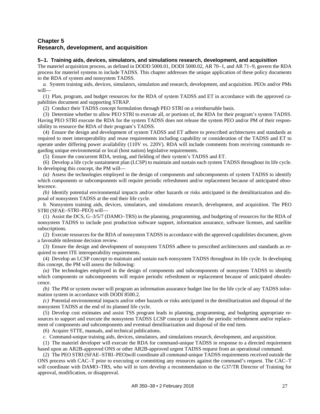# <span id="page-32-0"></span>**Chapter 5 Research, development, and acquisition**

#### <span id="page-32-1"></span>**5–1. Training aids, devices, simulators, and simulations research, development, and acquisition**

The materiel acquisition process, as defined in DODD 5000.01, DODI 5000.02, AR 70–1, and AR 71–9, govern the RDA process for materiel systems to include TADSS. This chapter addresses the unique application of these policy documents to the RDA of system and nonsystem TADSS.

*a.* System training aids, devices, simulators, simulation and research, development, and acquisition. PEOs and/or PMs will—

(1) Plan, program, and budget resources for the RDA of system TADSS and ET in accordance with the approved capabilities document and supporting STRAP.

(2) Conduct their TADSS concept formulation through PEO STRI on a reimbursable basis.

(3) Determine whether to allow PEO STRI to execute all, or portions of, the RDA for their program's system TADSS. Having PEO STRI execute the RDA for the system TADSS does not release the system PEO and/or PM of their responsibility to resource the RDA of their program's TADSS.

(4) Ensure the design and development of system TADSS and ET adhere to prescribed architectures and standards as required to meet interoperability and reuse requirements including capability or consideration of the TADSS and ET to operate under differing power availability (110V vs. 220V). RDA will include comments from receiving commands regarding unique environmental or local (host nation) legislative requirements.

(5) Ensure the concurrent RDA, testing, and fielding of their system's TADSS and ET.

(6) Develop a life cycle sustainment plan (LCSP) to maintain and sustain each system TADSS throughout its life cycle. In developing this concept, the PM will—

*(a)* Assess the technologies employed in the design of components and subcomponents of system TADSS to identify which components or subcomponents will require periodic refreshment and/or replacement because of anticipated obsolescence.

*(b)* Identify potential environmental impacts and/or other hazards or risks anticipated in the demilitarization and disposal of nonsystem TADSS at the end their life cycle.

*b.* Nonsystem training aids, devices, simulators, and simulations research, development, and acquisition. The PEO STRI (SFAE–STRI–PEO) will—

(1) Assist the DCS, G–3/5/7 (DAMO–TRS) in the planning, programming, and budgeting of resources for the RDA of nonsystem TADSS to include post production software support, information assurance, software licenses, and satellite subscriptions.

(2) Execute resources for the RDA of nonsystem TADSS in accordance with the approved capabilities document, given a favorable milestone decision review.

(3) Ensure the design and development of nonsystem TADSS adhere to prescribed architectures and standards as required to meet ITE interoperability requirements.

(4) Develop an LCSP concept to maintain and sustain each nonsystem TADSS throughout its life cycle. In developing this concept, the PM will assess the following:

*(a)* The technologies employed in the design of components and subcomponents of nonsystem TADSS to identify which components or subcomponents will require periodic refreshment or replacement because of anticipated obsolescence.

*(b)* The PM or system owner will program an information assurance budget line for the life cycle of any TADSS information system in accordance with DODI 8500.2.

*(c)* Potential environmental impacts and/or other hazards or risks anticipated in the demilitarization and disposal of the nonsystem TADSS at the end of its planned life cycle.

(5) Develop cost estimates and assist TSS program leads in planning, programming, and budgeting appropriate resources to support and execute the nonsystem TADSS LCSP concept to include the periodic refreshment and/or replacement of components and subcomponents and eventual demilitarization and disposal of the end item.

(6) Acquire STTE, manuals, and technical publications.

*c.* Command-unique training aids, devices, simulators, and simulations research, development, and acquisition.

(1) The materiel developer will execute the RDA for command-unique TADSS in response to a directed requirement based upon an AR2B-approved ONS or other AR2B-approved urgent TADSS request from an operational command.

(2) The PEO STRI (SFAE–STRI–PEO)will coordinate all command-unique TADSS requirements received outside the ONS process with CAC–T prior to executing or committing any resources against the command's request. The CAC–T will coordinate with DAMO–TRS, who will in turn develop a recommendation to the G37/TR Director of Training for approval, modification, or disapproval.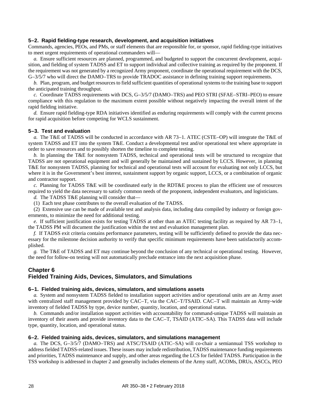#### <span id="page-33-0"></span>**5–2. Rapid fielding-type research, development, and acquisition initiatives**

Commands, agencies, PEOs, and PMs, or staff elements that are responsible for, or sponsor, rapid fielding-type initiatives to meet urgent requirements of operational commanders will—

*a.* Ensure sufficient resources are planned, programmed, and budgeted to support the concurrent development, acquisition, and fielding of system TADSS and ET to support individual and collective training as required by the proponent. If the requirement was not generated by a recognized Army proponent, coordinate the operational requirement with the DCS, G–3/5/7 who will direct the DAMO–TRS to provide TRADOC assistance in defining training support requirements.

*b.* Plan, program, and budget resources to field sufficient quantities of operational systems to the training base to support the anticipated training throughput.

*c.* Coordinate TADSS requirements with DCS, G–3/5/7 (DAMO–TRS) and PEO STRI (SFAE–STRI–PEO) to ensure compliance with this regulation to the maximum extent possible without negatively impacting the overall intent of the rapid fielding initiative.

<span id="page-33-5"></span>*d.* Ensure rapid fielding-type RDA initiatives identified as enduring requirements will comply with the current process for rapid acquisition before competing for WCLS sustainment.

#### <span id="page-33-1"></span>**5–3. Test and evaluation**

*a.* The T&E of TADSS will be conducted in accordance with AR 73–1. ATEC (CSTE–OP) will integrate the T&E of system TADSS and ET into the system T&E. Conduct a developmental test and/or operational test where appropriate in order to save resources and to possibly shorten the timeline to complete testing.

*b.* In planning the T&E for nonsystem TADSS, technical and operational tests will be structured to recognize that TADSS are not operational equipment and will generally be maintained and sustained by LCCS. However, in planning T&E for nonsystem TADSS, planning for technical and operational tests will account for evaluating not only LCCS, but where it is in the Government's best interest, sustainment support by organic support, LCCS, or a combination of organic and contractor support.

*c.* Planning for TADSS T&E will be coordinated early in the RDT&E process to plan the efficient use of resources required to yield the data necessary to satisfy common needs of the proponent, independent evaluators, and logisticians.

*d.* The TADSS T&E planning will consider that—

(1) Each test phase contributes to the overall evaluation of the TADSS.

(2) Extensive use can be made of available test and analysis data, including data compiled by industry or foreign governments, to minimize the need for additional testing.

*e.* If sufficient justification exists for testing TADSS at other than an ATEC testing facility as required by AR 73–1, the TADSS PM will document the justification within the test and evaluation management plan.

*f.* If TADSS exit criteria contains performance parameters, testing will be sufficiently defined to provide the data necessary for the milestone decision authority to verify that specific minimum requirements have been satisfactorily accomplished.

*g.* The T&E of TADSS and ET may continue beyond the conclusion of any technical or operational testing. However, the need for follow-on testing will not automatically preclude entrance into the next acquisition phase.

# <span id="page-33-2"></span>**Chapter 6 Fielded Training Aids, Devices, Simulators, and Simulations**

# <span id="page-33-3"></span>**6–1. Fielded training aids, devices, simulators, and simulations assets**

*a.* System and nonsystem TADSS fielded to installation support activities and/or operational units are an Army asset with centralized staff management provided by CAC–T, via the CAC–T/TSAID. CAC–T will maintain an Army-wide inventory of fielded TADSS by type, device number, quantity, location, and operational status.

*b.* Commands and/or installation support activities with accountability for command-unique TADSS will maintain an inventory of their assets and provide inventory data to the CAC–T, TSAID (ATIC–SA). This TADSS data will include type, quantity, location, and operational status.

#### <span id="page-33-4"></span>**6–2. Fielded training aids, devices, simulators, and simulations management**

*a.* The DCS, G–3/5/7 (DAMO–TRS) and ATSC/TSAID (ATIC–SA) will co-chair a semiannual TSS workshop to address fielded TADSS-related issues. These issues may include redistribution, TADSS maintenance funding requirements and priorities, TADSS maintenance and supply, and other areas regarding the LCS for fielded TADSS. Participation in the TSS workshop is addressed in [chapter](#page-11-0) 2 and generally includes elements of the Army staff, ACOMs, DRUs, ASCCs, PEO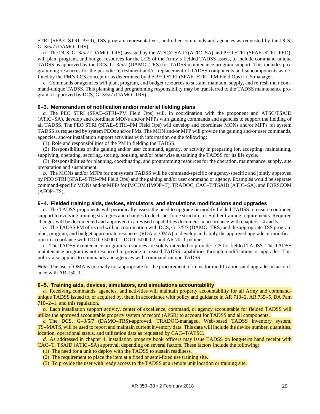STRI (SFAE–STRI–PEO), TSS program representatives, and other commands and agencies as requested by the DCS, G–3/5/7 (DAMO–TRS).

*b.* The DCS, G–3/5/7 (DAMO–TRS), assisted by the ATSC/TSAID (ATIC–SA) and PEO STRI (SFAE–STRI–PEO), will plan, program, and budget resources for the LCS of the Army's fielded TADSS assets, to include command-unique TADSS as approved by the DCS, G–3/5/7 (DAMO–TRS) for TADSS maintenance program support. This includes programming resources for the periodic refreshment and/or replacement of TADSS components and subcomponents as defined by the PM's LCS concept or as determined by the PEO STRI (SFAE–STRI–PM Field Ops) LCS manager.

*c.* Commands or agencies will plan, program, and budget resources to sustain, maintain, supply, and refresh their command-unique TADSS. This planning and programming responsibility may be transferred to the TADSS maintenance program, if approved by DCS, G–3/5/7 (DAMO–TRS).

#### <span id="page-34-0"></span>**6–3. Memorandum of notification and/or materiel fielding plans**

*a.* The PEO STRI (SFAE–STRI–PM Field Ops) will, in coordination with the proponent and ATSC/TSAID (ATIC–SA), develop and coordinate MONs and/or MFPs with gaining commands and agencies to support the fielding of all TADSS. The PEO STRI (SFAE–STRI–PM Field Ops) will develop and coordinate MONs and/or MFPs for system TADSS as requested by system PEOs and/or PMs. The MON and/or MFP will provide the gaining and/or user commands, agencies, and/or installation support activities with information on the following:

(1) Role and responsibilities of the PM in fielding the TADSS.

(2) Responsibilities of the gaining and/or user command, agency, or activity in preparing for, accepting, maintaining, supplying, operating, securing, storing, housing, and/or otherwise sustaining the TADSS for its life cycle.

(3) Responsibilities for planning, coordinating, and programming resources for the operation, maintenance, supply, site preparation and sustainment.

*b.* The MONs and/or MFPs for nonsystem TADSS will be command-specific or agency-specific and jointly approved by PEO STRI (SFAE–STRI–PM Field Ops) and the gaining and/or user command or agency. Examples would be separate command-specific MONs and/or MFPs for IMCOM (IMOP–T), TRADOC, CAC–T/TSAID (ATIC–SA), and FORSCOM (AFOP–TS).

#### <span id="page-34-1"></span>**6–4. Fielded training aids, devices, simulators, and simulations modifications and upgrades**

*a.* The TADSS proponents will periodically assess the need to upgrade or modify fielded TADSS to ensure continued support to evolving training strategies and changes to doctrine, force structure, or Soldier training requirements. Required changes will be documented and approved in a revised capabilities document in accordance with chapters [4](#page-27-0) an[d 5.](#page-32-0)

*b.* The TADSS PM of record will, in coordination with DCS, G–3/5/7 (DAMO–TRS) and the appropriate TSS program plan, program, and budget appropriate resources (RDA or OMA) to develop and apply the approved upgrade or modification in accordance with DODD 5000.01, DODI 5000.02, and AR 70–1 policies.

*c.* The TADSS maintenance program's resources are solely intended to provide LCS for fielded TADSS. The TADSS maintenance program is not resourced to provide increased TADSS capabilities through modifications or upgrades. This policy also applies to commands and agencies with command-unique TADSS.

*Note*. The use of OMA is normally not appropriate for the procurement of items for modifications and upgrades in accordance with AR 750–1.

#### <span id="page-34-2"></span>**6–5. Training aids, devices, simulators, and simulations accountability**

*a.* Receiving commands, agencies, and activities will maintain property accountability for all Army and commandunique TADSS issued to, or acquired by, them in accordance with policy and guidance in AR 710–2, AR 735–5, DA Pam 710–2–1, and this regulation.

*b.* Each installation support activity, center of excellence, command, or agency accountable for fielded TADSS will utilize the approved accountable property system of record (APSR) to account for TADSS and all components.

*c.* The DCS, G–3/5/7 (DAMO–TRS)-approved, TRADOC-managed, Web-based TADSS inventory system, TS–MATS, will be used to report and maintain current inventory data. This data will include the device number, quantities, location, operational status, and utilization data as requested by CAC–T/ATSC.

*d.* As addressed in [chapter](#page-27-0) 4, installation property book officers may issue TADSS on long-term hand receipt with CAC–T, TSAID (ATIC–SA) approval, depending on several factors. These factors include the following:

(1) The need for a unit to deploy with the TADSS to sustain readiness.

(2) The requirement to place the item at a fixed or semi-fixed use training site.

(3) To provide the user with ready access to the TADSS at a remote unit location or training site.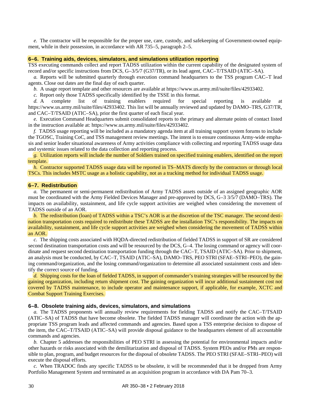*e.* The contractor will be responsible for the proper use, care, custody, and safekeeping of Government-owned equipment, while in their possession, in accordance with AR 735–5[, paragraph](#page-14-0) 2–5.

#### <span id="page-35-0"></span>**6–6. Training aids, devices, simulators, and simulations utilization reporting**

TSS executing commands collect and report TADSS utilization within the current capability of the designated system of record and/or specific instructions from DCS, G–3/5/7 (G37/TR), or its lead agent, CAC–T/TSAID (ATIC–SA).

*a.* Reports will be submitted quarterly through execution command headquarters to the TSS program CAC–T lead agents. Close out dates are the final day of each quarter.

*b.* A usage report template and other resources are available a[t https://www.us.army.mil/suite/files/42933402.](https://www.us.army.mil/suite/files/42933402)

*c.* Report only those TADSS specifically identified by the TSSE in this format.

*d.* A complete list of training enablers required for special reporting is available at [https://www.us.army.mil/suite/files/42933402.](https://www.us.army.mil/suite/files/42933402) This list will be annually reviewed and updated by DAMO–TRS, G37/TR, and CAC–T/TSAID (ATIC–SA), prior the first quarter of each fiscal year.

*e.* Execution Command Headquarters submit consolidated reports to the primary and alternate points of contact listed in the instruction available at: [https://www.us.army.mil/suite/files/42933402.](https://www.us.army.mil/suite/files/42933402)

*f.* TADSS usage reporting will be included as a mandatory agenda item at all training support system forums to include the TGOSC, Training CoC, and TSS management review meetings. The intent is to ensure continuous Army-wide emphasis and senior leader situational awareness of Army activities compliance with collecting and reporting TADSS usage data and systemic issues related to the data collection and reporting process.

*g.* Utilization reports will include the number of Soldiers trained on specified training enablers, identified on the report template.

*h.* Contractor supported TADSS usage data will be reported in TS–MATS directly by the contractors or through local TSCs. This includes MSTC usage as a holistic capability, not as a tracking method for individual TADSS usage.

#### <span id="page-35-1"></span>**6–7. Redistribution**

*a.* The permanent or semi-permanent redistribution of Army TADSS assets outside of an assigned geographic AOR must be coordinated with the Army Fielded Devices Manager and pre-approved by DCS, G–3 3/5/7 (DAMO–TRS). The impacts on availability, sustainment, and life cycle support activities are weighed when considering the movement of TADSS outside of an AOR.

*b.* The redistribution (loan) of TADSS within a TSC's AOR is at the discretion of the TSC manager. The second destination transportation costs required to redistribute these TADSS are the installation TSC's responsibility. The impacts on availability, sustainment, and life cycle support activities are weighed when considering the movement of TADSS within an AOR.

*c.* The shipping costs associated with HQDA-directed redistribution of fielded TADSS in support of SR are considered second destination transportation costs and will be resourced by the DCS, G–4. The losing command or agency will coordinate and request second destination transportation funding through the CAC–T, TSAID (ATIC–SA). Prior to shipment, an analysis must be conducted, by CAC–T, TSAID (ATIC–SA), DAMO–TRS, PEO STRI (SFAE–STRI–PEO), the gaining command/organization, and the losing command/organization to determine all associated sustainment costs and identify the correct source of funding.

*d.* Shipping costs for the loan of fielded TADSS, in support of commander's training strategies will be resourced by the gaining organization, including return shipment cost. The gaining organization will incur additional sustainment cost not covered by TADSS maintenance, to include operator and maintenance support, if applicable, for example, XCTC and Combat Support Training Exercises.

#### <span id="page-35-2"></span>**6–8. Obsolete training aids, devices, simulators, and simulations**

*a.* The TADSS proponents will annually review requirements for fielding TADSS and notify the CAC–T/TSAID (ATIC–SA) of TADSS that have become obsolete. The fielded TADSS manager will coordinate the action with the appropriate TSS program leads and affected commands and agencies. Based upon a TSS enterprise decision to dispose of the item, the CAC–T/TSAID (ATIC–SA) will provide disposal guidance to the headquarters element of all accountable commands and agencies.

*b.* [Chapter](#page-32-0) 5 addresses the responsibilities of PEO STRI in assessing the potential for environmental impacts and/or other hazards or risks associated with the demilitarization and disposal of TADSS. System PEOs and/or PMs are responsible to plan, program, and budget resources for the disposal of obsolete TADSS. The PEO STRI (SFAE–STRI–PEO) will execute the disposal efforts.

*c.* When TRADOC finds any specific TADSS to be obsolete, it will be recommended that it be dropped from Army Portfolio Management System and terminated as an acquisition program in accordance with DA Pam 70–3.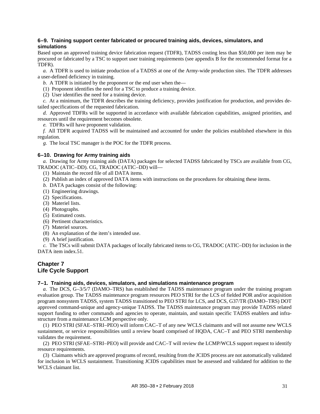# <span id="page-36-0"></span>**6–9. Training support center fabricated or procured training aids, devices, simulators, and simulations**

Based upon an approved training device fabrication request (TDFR), TADSS costing less than \$50,000 per item may be procured or fabricated by a TSC to support user training requirements (see [appendix B](#page-43-0) for the recommended format for a TDFR).

*a.* A TDFR is used to initiate production of a TADSS at one of the Army-wide production sites. The TDFR addresses a user-defined deficiency in training.

*b.* A TDFR is initiated by the proponent or the end user when the—

(1) Proponent identifies the need for a TSC to produce a training device.

(2) User identifies the need for a training device.

*c.* At a minimum, the TDFR describes the training deficiency, provides justification for production, and provides detailed specifications of the requested fabrication.

*d.* Approved TDFRs will be supported in accordance with available fabrication capabilities, assigned priorities, and resources until the requirement becomes obsolete.

*e.* TDFRs will have proponent validation.

*f.* All TDFR acquired TADSS will be maintained and accounted for under the policies established elsewhere in this regulation.

*g.* The local TSC manager is the POC for the TDFR process.

# <span id="page-36-1"></span>**6–10. Drawing for Army training aids**

*a.* Drawing for Army training aids (DATA) packages for selected TADSS fabricated by TSCs are available from CG, TRADOC (ATIC–DD). CG, TRADOC (ATIC–DD) will—

(1) Maintain the record file of all DATA items.

- (2) Publish an index of approved DATA items with instructions on the procedures for obtaining these items.
- *b.* DATA packages consist of the following:
- (1) Engineering drawings.
- (2) Specifications.
- (3) Materiel lists.
- (4) Photographs.
- (5) Estimated costs.
- (6) Pertinent characteristics.
- (7) Materiel sources.
- (8) An explanation of the item's intended use.
- (9) A brief justification.

*c.* The TSCs will submit DATA packages of locally fabricated items to CG, TRADOC (ATIC–DD) for inclusion in the DATA item index.51.

# <span id="page-36-2"></span>**Chapter 7 Life Cycle Support**

# <span id="page-36-3"></span>**7–1. Training aids, devices, simulators, and simulations maintenance program**

*a.* The DCS, G–3/5/7 (DAMO–TRS) has established the TADSS maintenance program under the training program evaluation group. The TADSS maintenance program resources PEO STRI for the LCS of fielded POR and/or acquisition program nonsystem TADSS, system TADSS transitioned to PEO STRI for LCS, and DCS, G37/TR (DAMO–TRS) DOT approved command-unique and agency-unique TADSS. The TADSS maintenance program may provide TADSS related support funding to other commands and agencies to operate, maintain, and sustain specific TADSS enablers and infrastructure from a maintenance LCM perspective only.

(1) PEO STRI (SFAE–STRI–PEO) will inform CAC–T of any new WCLS claimants and will not assume new WCLS sustainment, or service responsibilities until a review board comprised of HQDA, CAC–T and PEO STRI membership validates the requirement.

(2) PEO STRI (SFAE–STRI–PEO) will provide and CAC–T will review the LCMP/WCLS support request to identify resource requirements.

(3) Claimants which are approved programs of record, resulting from the JCIDS process are not automatically validated for inclusion in WCLS sustainment. Transitioning JCIDS capabilities must be assessed and validated for addition to the WCLS claimant list.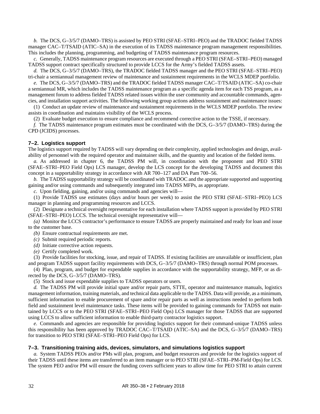*b.* The DCS, G–3/5/7 (DAMO–TRS) is assisted by PEO STRI (SFAE–STRI–PEO) and the TRADOC fielded TADSS manager CAC–T/TSAID (ATIC–SA) in the execution of its TADSS maintenance program management responsibilities. This includes the planning, programming, and budgeting of TADSS maintenance program resources.

*c.* Generally, TADSS maintenance program resources are executed through a PEO STRI (SFAE–STRI–PEO) managed TADSS support contract specifically structured to provide LCCS for the Army's fielded TADSS assets.

*d.* The DCS, G–3/5/7 (DAMO–TRS), the TRADOC fielded TADSS manager and the PEO STRI (SFAE–STRI–PEO) tri-chair a semiannual management review of maintenance and sustainment requirements in the WCLS MDEP portfolio.

*e.* The DCS, G–3/5/7 (DAMO–TRS) and the TRADOC fielded TADSS manager CAC–T/TSAID (ATIC–SA) co-chair a semiannual MR, which includes the TADSS maintenance program as a specific agenda item for each TSS program, as a management forum to address fielded TADSS related issues within the user community and accountable commands, agencies, and installation support activities. The following working group actions address sustainment and maintenance issues:

(1) Conduct an update review of maintenance and sustainment requirements in the WCLS MDEP portfolio. The review assists in coordination and maintains visibility of the WCLS process.

(2) Evaluate budget execution to ensure compliance and recommend corrective action to the TSSE, if necessary.

*f.* The TADSS maintenance program estimates must be coordinated with the DCS, G–3/5/7 (DAMO–TRS) during the CPD (JCIDS) processes.

# <span id="page-37-0"></span>**7–2. Logistics support**

The logistics support required by TADSS will vary depending on their complexity, applied technologies and design, availability of personnel with the required operator and maintainer skills, and the quantity and location of the fielded items.

*a.* As addressed in [chapter](#page-33-2) 6, the TADSS PM will, in coordination with the proponent and PEO STRI (SFAE–STRI–PEO Field Ops) LCS manager, develop the LCS concept for the developing TADSS and document this concept in a supportability strategy in accordance with AR 700–127 and DA Pam 700–56.

*b.* The TADSS supportability strategy will be coordinated with TRADOC and the appropriate supported and supporting gaining and/or using commands and subsequently integrated into TADSS MFPs, as appropriate.

*c.* Upon fielding, gaining, and/or using commands and agencies will—

(1) Provide TADSS use estimates (days and/or hours per week) to assist the PEO STRI (SFAE–STRI–PEO) LCS manager in planning and programming resources and LCCS.

(2) Designate a technical oversight representative for each installation where TADSS support is provided by PEO STRI (SFAE–STRI–PEO) LCCS. The technical oversight representative will—

*(a)* Monitor the LCCS contractor's performance to ensure TADSS are properly maintained and ready for loan and issue to the customer base.

*(b)* Ensure contractual requirements are met.

*(c)* Submit required periodic reports.

*(d)* Initiate corrective action requests.

*(e)* Certify completed work.

(3) Provide facilities for stocking, issue, and repair of TADSS. If existing facilities are unavailable or insufficient, plan and program TADSS support facility requirements with DCS, G–3/5/7 (DAMO–TRS) through normal POM processes.

(4) Plan, program, and budget for expendable supplies in accordance with the supportability strategy, MFP, or as directed by the DCS, G–3/5/7 (DAMO–TRS).

(5) Stock and issue expendable supplies to TADSS operators or users.

*d.* The TADSS PM will provide initial spare and/or repair parts, STTE, operator and maintenance manuals, logistics management information, training materials, and technical data applicable to the TADSS. Data will provide, as a minimum, sufficient information to enable procurement of spare and/or repair parts as well as instructions needed to perform both field and sustainment level maintenance tasks. These items will be provided to gaining commands for TADSS not maintained by LCCS or to the PEO STRI (SFAE–STRI–PEO Field Ops) LCS manager for those TADSS that are supported using LCCS to allow sufficient information to enable third-party contractor logistics support.

*e.* Commands and agencies are responsible for providing logistics support for their command-unique TADSS unless this responsibility has been approved by TRADOC CAC–T/TSAID (ATIC–SA) and the DCS, G–3/5/7 (DAMO–TRS) for transition to PEO STRI (SFAE–STRI–PEO Field Ops) for LCS.

# <span id="page-37-1"></span>**7–3. Transitioning training aids, devices, simulators, and simulations logistics support**

*a.* System TADSS PEOs and/or PMs will plan, program, and budget resources and provide for the logistics support of their TADSS until these items are transferred to an item manager or to PEO STRI (SFAE–STRI–PM-Field Ops) for LCS. The system PEO and/or PM will ensure the funding covers sufficient years to allow time for PEO STRI to attain current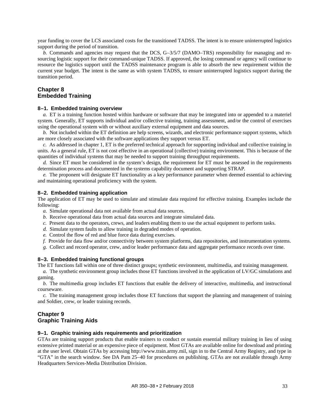year funding to cover the LCS associated costs for the transitioned TADSS. The intent is to ensure uninterrupted logistics support during the period of transition.

*b.* Commands and agencies may request that the DCS, G-3/5/7 (DAMO–TRS) responsibility for managing and resourcing logistic support for their command-unique TADSS. If approved, the losing command or agency will continue to resource the logistics support until the TADSS maintenance program is able to absorb the new requirement within the current year budget. The intent is the same as with system TADSS, to ensure uninterrupted logistics support during the transition period.

# <span id="page-38-1"></span>**Chapter 8 Embedded Training**

#### <span id="page-38-2"></span>**8–1. Embedded training overview**

*a.* ET is a training function hosted within hardware or software that may be integrated into or appended to a materiel system. Generally, ET supports individual and/or collective training, training assessment, and/or the control of exercises using the operational system with or without auxiliary external equipment and data sources.

*b.* Not included within the ET definition are help screens, wizards, and electronic performance support systems, which are more closely associated with the software applications they support versus ET.

*c.* As addressed in [chapter](#page-6-0) 1, ET is the preferred technical approach for supporting individual and collective training in units. As a general rule, ET is not cost effective in an operational (collective) training environment. This is because of the quantities of individual systems that may be needed to support training throughput requirements.

*d.* Since ET must be considered in the system's design, the requirement for ET must be assessed in the requirements determination process and documented in the systems capability document and supporting STRAP.

*e.* The proponent will designate ET functionality as a key performance parameter when deemed essential to achieving and maintaining operational proficiency with the system.

#### <span id="page-38-3"></span>**8–2. Embedded training application**

The application of ET may be used to simulate and stimulate data required for effective training. Examples include the following:

- *a.* Simulate operational data not available from actual data sources.
- *b.* Receive operational data from actual data sources and integrate simulated data.
- *c.* Present data to the operators, crews, and leaders enabling them to use the actual equipment to perform tasks.
- *d.* Simulate system faults to allow training in degraded modes of operation.
- *e.* Control the flow of red and blue force data during exercises.
- *f.* Provide for data flow and/or connectivity between system platforms, data repositories, and instrumentation systems.
- *g.* Collect and record operator, crew, and/or leader performance data and aggregate performance records over time.

#### <span id="page-38-4"></span>**8–3. Embedded training functional groups**

The ET functions fall within one of three distinct groups; synthetic environment, multimedia, and training management.

*a.* The synthetic environment group includes those ET functions involved in the application of LV/GC simulations and gaming.

*b.* The multimedia group includes ET functions that enable the delivery of interactive, multimedia, and instructional courseware.

*c.* The training management group includes those ET functions that support the planning and management of training and Soldier, crew, or leader training records.

# <span id="page-38-5"></span>**Chapter 9 Graphic Training Aids**

#### <span id="page-38-0"></span>**9–1. Graphic training aids requirements and prioritization**

GTAs are training support products that enable trainers to conduct or sustain essential military training in lieu of using extensive printed material or an expensive piece of equipment. Most GTAs are available online for download and printing at the user level. Obtain GTAs by accessing [http://www.train.army.mil,](http://www.train.army.mil/) sign in to the Central Army Registry, and type in "GTA" in the search window. See DA Pam 25–40 for procedures on publishing. GTAs are not available through Army Headquarters Services-Media Distribution Division.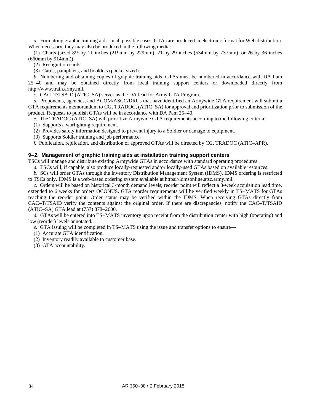*a.* Formatting graphic training aids. In all possible cases, GTAs are produced in electronic format for Web distribution. When necessary, they may also be produced in the following media:

(1) Charts (sized 8½ by 11 inches (219mm by 279mm), 21 by 29 inches (534mm by 737mm), or 26 by 36 inches (660mm by 914mm)).

(2) Recognition cards.

(3) Cards, pamphlets, and booklets (pocket sized).

<span id="page-39-1"></span>*b.* Numbering and obtaining copies of graphic training aids. GTAs must be numbered in accordance with DA Pam 25–40 and may be obtained directly from local training support centers or downloaded directly from [http://www.train.army.mil.](http://www.train.army.mil/)

*c.* CAC–T/TSAID (ATIC–SA) serves as the DA lead for Army GTA Program.

*d.* Proponents, agencies, and ACOM/ASCC/DRUs that have identified an Armywide GTA requirement will submit a GTA requirements memorandum to CG, TRADOC, (ATIC–SA) for approval and prioritization prior to submission of the product. Requests to publish GTAs will be in accordance with DA Pam 25–40.

*e.* The TRADOC (ATIC–SA) will prioritize Armywide GTA requirements according to the following criteria:

(1) Supports a warfighting requirement.

(2) Provides safety information designed to prevent injury to a Soldier or damage to equipment.

(3) Supports Soldier training and job performance.

*f.* Publication, replication, and distribution of approved GTAs will be directed by CG, TRADOC (ATIC–APR).

# <span id="page-39-0"></span>**9–2. Management of graphic training aids at installation training support centers**

TSCs will manage and distribute existing Armywide GTAs in accordance with standard operating procedures.

*a.* TSCs will, if capable, also produce locally-requested and/or locally-used GTAs based on available resources.

*b.* SCs will order GTAs through the Inventory Distribution Management System (IDMS). IDMS ordering is restricted to TSCs only. IDMS is a web-based ordering system available a[t https://idmsonline.atsc.army.mil.](https://idmsonline.atsc.army.mil/)

*c.* Orders will be based on historical 3-month demand levels; reorder point will reflect a 3-week acquisition lead time, extended to 6 weeks for orders OCONUS. GTA reorder requirements will be verified weekly in TS–MATS for GTAs reaching the reorder point. Order status may be verified within the IDMS. When receiving GTAs directly from CAC–T/TSAID verify the contents against the original order. If there are discrepancies, notify the CAC–T/TSAID (ATIC–SA) GTA lead at (757) 878–2600.

*d.* GTAs will be entered into TS–MATS inventory upon receipt from the distribution center with high (operating) and low (reorder) levels annotated.

*e.* GTA issuing will be completed in TS–MATS using the issue and transfer options to ensure—

(1) Accurate GTA identification.

(2) Inventory readily available to customer base.

(3) GTA accountability.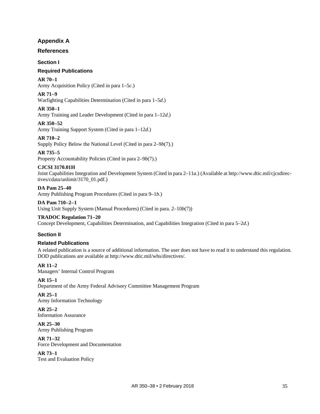# **Appendix A**

# <span id="page-40-0"></span>**References**

# **Section I**

# **Required Publications**

# **AR 70–1**

Army Acquisition Policy (Cited in [para 1–5](#page-6-8)*c*.)

# **AR 71–9**

Warfighting Capabilities Determination (Cited i[n para 1–5](#page-6-9)*d*.)

# **AR 350–1**

Army Training and Leader Development (Cited in [para 1–12](#page-10-4)*d*.)

# **AR 350–52**

Army Training Support System (Cited i[n para 1–12](#page-10-4)*d*.)

# **AR 710–2**

Supply Policy Below the National Level (Cited in para 2–9*b*(7).)

# **AR 735–5**

Property Accountability Policies (Cited in para 2–9*b*(7).)

# **CJCSI 3170.01H**

Joint Capabilities Integration and Development System (Cited i[n para 2–11](#page-18-1)*a*.) (Available a[t http://www.dtic.mil/cjcsdirec](http://www.dtic.mil/cjcsdirectives/cdata/unlimit/3170_01.pdf)[tives/cdata/unlimit/3170\\_01.pdf.](http://www.dtic.mil/cjcsdirectives/cdata/unlimit/3170_01.pdf))

**DA Pam 25–40** Army Publishing Program Procedures (Cited in [para 9–1](#page-39-1)*b*.)

#### **DA Pam 710–2–1** Using Unit Supply System (Manual Procedures) (Cited in [para. 2–10](#page-18-2)*b*(7))

# **TRADOC Regulation 71–20**

Concept Development, Capabilities Determination, and Capabilities Integration (Cited in [para 5–2](#page-33-5)*d*.)

# **Section II**

# **Related Publications**

A related publication is a source of additional information. The user does not have to read it to understand this regulation. DOD publications are available a[t http://www.dtic.mil/whs/directives/.](http://www.dtic.mil/whs/directives/)

# **AR 11–2**

Managers' Internal Control Program

# **AR 15–1**

Department of the Army Federal Advisory Committee Management Program

# **AR 25–1**

Army Information Technology

**AR 25–2** Information Assurance

**AR 25–30** Army Publishing Program

#### **AR 71–32** Force Development and Documentation

**AR 73–1**

Test and Evaluation Policy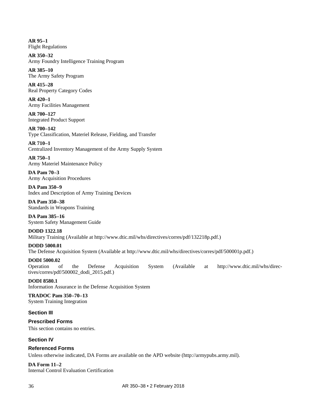**AR 95–1** Flight Regulations

**AR 350–32** Army Foundry Intelligence Training Program

**AR 385–10** The Army Safety Program

**AR 415–28** Real Property Category Codes

**AR 420–1** Army Facilities Management

**AR 700–127** Integrated Product Support

**AR 700–142** Type Classification, Materiel Release, Fielding, and Transfer

**AR 710–1** Centralized Inventory Management of the Army Supply System

**AR 750–1** Army Materiel Maintenance Policy

**DA Pam 70–3** Army Acquisition Procedures

**DA Pam 350–9** Index and Description of Army Training Devices

**DA Pam 350–38** Standards in Weapons Training

**DA Pam 385–16** System Safety Management Guide

**DODD 1322.18** Military Training (Available a[t http://www.dtic.mil/whs/directives/corres/pdf/132218p.pdf.](http://www.dtic.mil/whs/directives/corres/pdf/132218p.pdf))

**DODD 5000.01** The Defense Acquisition System (Available at [http://www.dtic.mil/whs/directives/corres/pdf/500001p.pdf.](http://www.dtic.mil/whs/directives/corres/pdf/500001p.pdf))

**DODI 5000.02** Operation of the Defense Acquisition System (Available at [http://www.dtic.mil/whs/direc](http://www.dtic.mil/whs/directives/corres/pdf/500002_dodi_2015.pdf)[tives/corres/pdf/500002\\_dodi\\_2015.pdf.](http://www.dtic.mil/whs/directives/corres/pdf/500002_dodi_2015.pdf))

**DODI 8580.1** Information Assurance in the Defense Acquisition System

**TRADOC Pam 350–70–13** System Training Integration

**Section III**

**Prescribed Forms** This section contains no entries.

**Section IV**

**Referenced Forms** Unless otherwise indicated, DA Forms are available on the APD website [\(http://armypubs.army.mil\)](http://armypubs.army.mil/).

**DA Form 11–2** Internal Control Evaluation Certification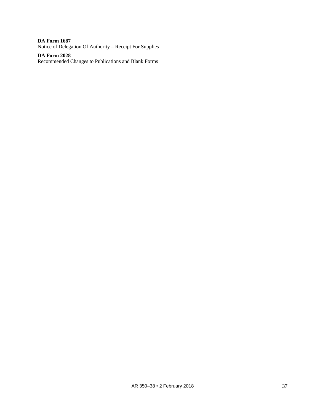**DA Form 1687** Notice of Delegation Of Authority – Receipt For Supplies

**DA Form 2028** Recommended Changes to Publications and Blank Forms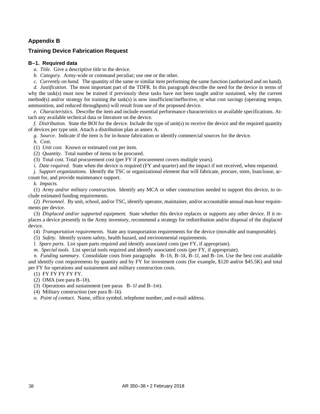# **Appendix B**

# <span id="page-43-0"></span>**Training Device Fabrication Request**

# **B–1. Required data**

*a. Title.* Give a descriptive title to the device.

- *b. Category.* Army-wide or command peculiar; use one or the other.
- *c. Currently on hand.* The quantity of the same or similar item performing the same function (authorized and on hand).

*d. Justification.* The most important part of the TDFR. In this paragraph describe the need for the device in terms of why the task(s) must now be trained if previously these tasks have not been taught and/or sustained, why the current method(s) and/or strategy for training the task(s) is now insufficient/ineffective, or what cost savings (operating tempo, ammunition, and reduced throughputs) will result from use of the proposed device.

*e. Characteristics.* Describe the item and include essential performance characteristics or available specifications. Attach any available technical data or literature on the device.

*f. Distribution.* State the BOI for the device. Include the type of unit(s) to receive the device and the required quantity of devices per type unit. Attach a distribution plan as annex A.

*g. Source.* Indicate if the item is for in-house fabrication or identify commercial sources for the device.

<span id="page-43-1"></span>*h. Cost.*

(1) *Unit cost.* Known or estimated cost per item.

(2) *Quantity.* Total number of items to be procured.

(3) Total cost. Total procurement cost (per FY if procurement covers multiple years).

*i. Date required.* State when the device is required (FY and quarter) and the impact if not received, when requested.

*j. Support organizations.* Identify the TSC or organizational element that will fabricate, procure, store, loan/issue, account for, and provide maintenance support.

<span id="page-43-2"></span>*k. Impacts.*

(1) *Army and/or military construction.* Identify any MCA or other construction needed to support this device, to include estimated funding requirements.

(2) *Personnel.* By unit, school, and/or TSC, identify operator, maintainer, and/or accountable annual man-hour requirements per device.

(3) *Displaced and/or supported equipment.* State whether this device replaces or supports any other device. If it replaces a device presently in the Army inventory, recommend a strategy for redistribution and/or disposal of the displaced device.

(4) *Transportation requirements.* State any transportation requirements for the device (movable and transportable).

(5) *Safety.* Identify system safety, health hazard, and environmental requirements.

<span id="page-43-3"></span>*l. Spare parts.* List spare parts required and identify associated costs (per FY, if appropriate).

<span id="page-43-4"></span>*m. Special tools.* List special tools required and identify associated costs (per FY, if appropriate).

*n. Funding summary.* Consolidate costs from paragraphs [B–1](#page-43-1)*h*, [B–1](#page-43-2)*k*, [B–1](#page-43-3)*l*, and [B–1](#page-43-4)*m*. Use the best cost available and identify cost requirements by quantity and by FY for investment costs (for example, \$120 and/or \$45.5K) and total per FY for operations and sustainment and military construction costs.

(1) FY FY FY FY FY.

(2) OMA (se[e para](#page-43-1) B–1*h*).

(3) Operations and sustainment (see paras [B–1](#page-43-3)*l* and [B–1](#page-43-4)*m*).

(4) Military construction (see [para](#page-43-2) B–1*k*).

*o. Point of contact.* Name, office symbol, telephone number, and e-mail address.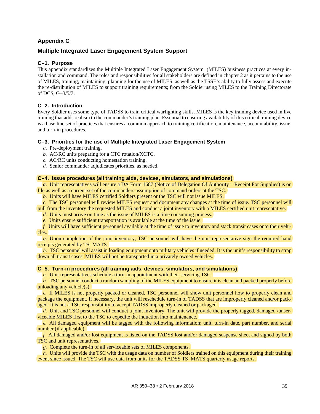# **Appendix C**

# <span id="page-44-0"></span>**Multiple Integrated Laser Engagement System Support**

# **C–1. Purpose**

This appendix standardizes the Multiple Integrated Laser Engagement System (MILES) business practices at every installation and command. The roles and responsibilities for all stakeholders are defined in [chapter 2](#page-11-0) as it pertains to the use of MILES, training, maintaining, planning for the use of MILES, as well as the TSSE's ability to fully assess and execute the re-distribution of MILES to support training requirements; from the Soldier using MILES to the Training Directorate of DCS, G–3/5/7.

# **C–2. Introduction**

Every Soldier uses some type of TADSS to train critical warfighting skills. MILES is the key training device used in live training that adds realism to the commander's training plan. Essential to ensuring availability of this critical training device is a base line set of practices that ensures a common approach to training certification, maintenance, accountability, issue, and turn-in procedures.

# **C–3. Priorities for the use of Multiple Integrated Laser Engagement System**

- *a.* Pre-deployment training.
- *b.* AC/RC units preparing for a CTC rotation/XCTC.
- *c.* AC/RC units conducting homestation training.
- *d.* Senior commander adjudicates priorities, as needed.

# **C–4. Issue procedures (all training aids, devices, simulators, and simulations)**

*a.* Unit representatives will ensure a DA Form 1687 (Notice of Delegation Of Authority – Receipt For Supplies) is on file as well as a current set of the commanders assumption of command orders at the TSC.

*b.* Units will have MILES certified Soldiers present or the TSC will not issue MILES.

*c.* The TSC personnel will review MILES request and document any changes at the time of issue. TSC personnel will pull from the inventory the requested MILES and conduct a joint inventory with a MILES certified unit representative.

*d.* Units must arrive on time as the issue of MILES is a time consuming process.

*e.* Units ensure sufficient transportation is available at the time of the issue.

*f.* Units will have sufficient personnel available at the time of issue to inventory and stack transit cases onto their vehicles.

*g.* Upon completion of the joint inventory, TSC personnel will have the unit representative sign the required hand receipts generated by TS–MATS.

*h.* TSC personnel will assist in loading equipment onto military vehicles if needed. It is the unit's responsibility to strap down all transit cases. MILES will not be transported in a privately owned vehicles.

# **C–5. Turn-in procedures (all training aids, devices, simulators, and simulations)**

*a.* Unit representatives schedule a turn-in appointment with their servicing TSC.

*b.* TSC personnel conduct a random sampling of the MILES equipment to ensure it is clean and packed properly before unloading any vehicle(s).

*c.* If MILES is not properly packed or cleaned, TSC personnel will show unit personnel how to properly clean and package the equipment. If necessary, the unit will reschedule turn-in of TADSS that are improperly cleaned and/or packaged. It is not a TSC responsibility to accept TADSS improperly cleaned or packaged.

*d.* Unit and TSC personnel will conduct a joint inventory. The unit will provide the properly tagged, damaged /unserviceable MILES first to the TSC to expedite the induction into maintenance.

*e.* All damaged equipment will be tagged with the following information; unit, turn-in date, part number, and serial number (if applicable).

*f.* All damaged and/or lost equipment is listed on the TADSS lost and/or damaged suspense sheet and signed by both TSC and unit representatives.

*g.* Complete the turn-in of all serviceable sets of MILES components.

*h.* Units will provide the TSC with the usage data on number of Soldiers trained on this equipment during their training event since issued. The TSC will use data from units for the TADSS TS–MATS quarterly usage reports.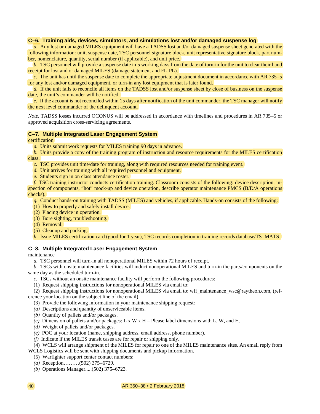# **C–6. Training aids, devices, simulators, and simulations lost and/or damaged suspense log**

*a.* Any lost or damaged MILES equipment will have a TADSS lost and/or damaged suspense sheet generated with the following information: unit, suspense date, TSC personnel signature block, unit representative signature block, part number, nomenclature, quantity, serial number (if applicable), and unit price.

*b.* TSC personnel will provide a suspense date in 5 working days from the date of turn-in for the unit to clear their hand receipt for lost and or damaged MILES (damage statement and FLIPL).

*c.* The unit has until the suspense date to complete the appropriate adjustment document in accordance with AR 735–5 for any lost and/or damaged equipment, or turn-in any lost equipment that is later found.

*d.* If the unit fails to reconcile all items on the TADSS lost and/or suspense sheet by close of business on the suspense date, the unit's commander will be notified.

*e.* If the account is not reconciled within 15 days after notification of the unit commander, the TSC manager will notify the next level commander of the delinquent account.

*Note.* TADSS losses incurred OCONUS will be addressed in accordance with timelines and procedures in AR 735–5 or approved acquisition cross-servicing agreements.

#### **C–7. Multiple Integrated Laser Engagement System**

certification

*a.* Units submit work requests for MILES training 90 days in advance.

*b.* Units provide a copy of the training program of instruction and resource requirements for the MILES certification class.

*c.* TSC provides unit time/date for training, along with required resources needed for training event.

*d.* Unit arrives for training with all required personnel and equipment.

*e.* Students sign in on class attendance roster.

*f.* TSC training instructor conducts certification training. Classroom consists of the following: device description, inspection of components, "hot" mock-up and device operation, describe operator maintenance PMCS (B/D/A operations checks).

- *g.* Conduct hands-on training with TADSS (MILES) and vehicles, if applicable. Hands-on consists of the following:
- (1) How to properly and safely install device.
- (2) Placing device in operation.
- (3) Bore sighting, troubleshooting.
- (4) Removal.
- (5) Cleanup and packing.

*h.* Issue MILES certification card (good for 1 year), TSC records completion in training records database/TS–MATS.

#### **C–8. Multiple Integrated Laser Engagement System**

maintenance

*a.* TSC personnel will turn-in all nonoperational MILES within 72 hours of receipt.

*b.* TSCs with onsite maintenance facilities will induct nonoperational MILES and turn-in the parts/components on the same day as the scheduled turn-in.

- *c.* TSCs without an onsite maintenance facility will perform the following procedures:
- (1) Request shipping instructions for nonoperational MILES via email to:

(2) Request shipping instructions for nonoperational MILES via email to: [wff\\_maintenance\\_wsc@raytheon.com,](mailto:wff_maintenance_wsc@raytheon.com) (reference your location on the subject line of the email).

- (3) Provide the following information in your maintenance shipping request:
- *(a)* Descriptions and quantity of unserviceable items.
- *(b)* Quantity of pallets and/or packages.
- *(c)* Dimension of pallets and/or packages: L x W x H Please label dimensions with L, W, and H.
- *(d)* Weight of pallets and/or packages.
- *(e)* POC at your location (name, shipping address, email address, phone number).
- *(f)* Indicate if the MILES transit cases are for repair or shipping only.
- (4) WCLS will arrange shipment of the MILES for repair to one of the MILES maintenance sites. An email reply from WCLS Logistics will be sent with shipping documents and pickup information.
	- (5) Warfighter support center contact numbers:
	- *(a)* Reception………(502) 375–6729.
	- *(b)* Operations Manager.....(502) 375–6723.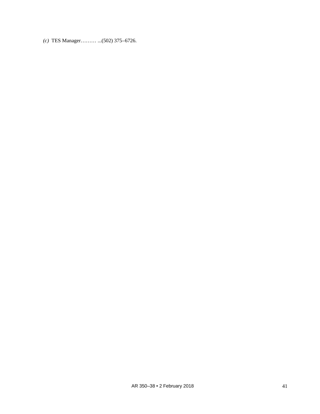*(c)* TES Manager……… ...(502) 375–6726.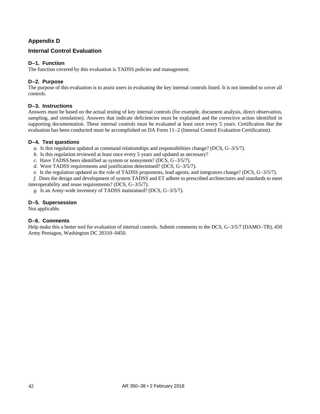# **Appendix D**

# <span id="page-47-0"></span>**Internal Control Evaluation**

# **D–1. Function**

The function covered by this evaluation is TADSS policies and management.

# **D–2. Purpose**

The purpose of this evaluation is to assist users in evaluating the key internal controls listed. It is not intended to cover all controls.

# **D–3. Instructions**

Answers must be based on the actual testing of key internal controls (for example, document analysis, direct observation, sampling, and simulation). Answers that indicate deficiencies must be explained and the corrective action identified in supporting documentation. These internal controls must be evaluated at least once every 5 years. Certification that the evaluation has been conducted must be accomplished on DA Form 11–2 (Internal Control Evaluation Certification).

# **D–4. Test questions**

*a.* Is this regulation updated as command relationships and responsibilities change? (DCS, G–3/5/7).

- *b.* Is this regulation reviewed at least once every 5 years and updated as necessary?
- *c.* Have TADSS been identified as system or nonsystem? (DCS, G–3/5/7).
- *d.* Were TADSS requirements and justification determined? (DCS, G–3/5/7).

*e.* Is the regulation updated as the role of TADSS proponents, lead agents, and integrators change? (DCS, G–3/5/7).

*f.* Does the design and development of system TADSS and ET adhere to prescribed architectures and standards to meet interoperability and reuse requirements? (DCS, G–3/5/7).

*g.* Is an Army-wide inventory of TADSS maintained? (DCS, G–3/5/7).

# **D–5. Supersession**

Not applicable.

# **D–6. Comments**

Help make this a better tool for evaluation of internal controls. Submit comments to the DCS, G–3/5/7 (DAMO–TR), 450 Army Pentagon, Washington DC 20310–0450.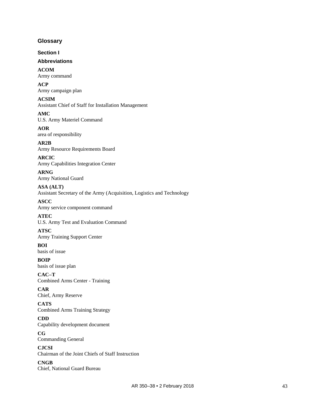# <span id="page-48-0"></span>**Glossary**

**Section I**

# **Abbreviations**

**ACOM** Army command

**ACP** Army campaign plan

# **ACSIM**

Assistant Chief of Staff for Installation Management

**AMC** U.S. Army Materiel Command

**AOR** area of responsibility

**AR2B** Army Resource Requirements Board

**ARCIC** Army Capabilities Integration Center

**ARNG** Army National Guard

**ASA (ALT)** Assistant Secretary of the Army (Acquisition, Logistics and Technology

# **ASCC** Army service component command **ATEC**

U.S. Army Test and Evaluation Command

# **ATSC**

Army Training Support Center

**BOI** basis of issue

**BOIP** basis of issue plan

**CAC–T** Combined Arms Center - Training

# **CAR** Chief, Army Reserve

**CATS** Combined Arms Training Strategy

**CDD** Capability development document

**CG** Commanding General

**CJCSI** Chairman of the Joint Chiefs of Staff Instruction

**CNGB** Chief, National Guard Bureau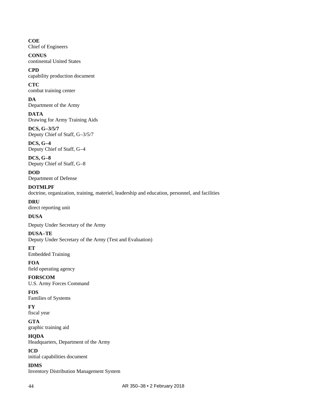# **COE**

Chief of Engineers

#### **CONUS** continental United States

**CPD**

capability production document

# **CTC**

combat training center **DA**

Department of the Army

# **DATA** Drawing for Army Training Aids

**DCS, G–3/5/7** Deputy Chief of Staff, G–3/5/7

# **DCS, G–4**

Deputy Chief of Staff, G–4

**DCS, G–8** Deputy Chief of Staff, G–8

# **DOD** Department of Defense

**DOTMLPF**

doctrine, organization, training, materiel, leadership and education, personnel, and facilities

# **DRU**

direct reporting unit

# **DUSA**

Deputy Under Secretary of the Army

# **DUSA–TE**

Deputy Under Secretary of the Army (Test and Evaluation)

# **ET**

Embedded Training

# **FOA**

field operating agency

# **FORSCOM**

U.S. Army Forces Command

# **FOS** Families of Systems

**FY**

fiscal year

# **GTA** graphic training aid

**HQDA** Headquarters, Department of the Army

# **ICD**

initial capabilities document

# **IDMS**

Inventory Distribution Management System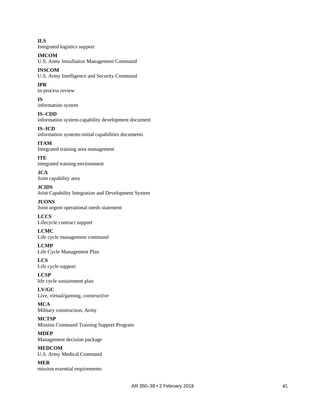**ILS** Integrated logistics support

**IMCOM** U.S. Army Installation Management Command

**INSCOM** U.S. Army Intelligence and Security Command

**IPR** in-process review

**IS** information system

**IS–CDD** information system-capability development document **IS–ICD** information systems-initial capabilities documents

**ITAM** Integrated training area management

**ITE** integrated training environment

**JCA** Joint capability area

**JCIDS** Joint Capability Integration and Development System

**JUONS** Joint urgent operational needs statement

**LCCS** Lifecycle contract support

**LCMC** Life cycle management command

**LCMP** Life Cycle Management Plan

**LCS** Life cycle support

**LCSP** life cycle sustainment plan

**LV/GC** Live, virtual/gaming, constructive

**MCA** Military construction, Army **MCTSP**

Mission Command Training Support Program **MDEP**

Management decision package **MEDCOM**

U.S. Army Medical Command

**MER** mission essential requirements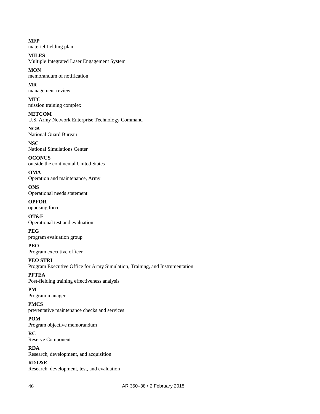**MFP** materiel fielding plan

**MILES** Multiple Integrated Laser Engagement System

**MON** memorandum of notification

**MR** management review

**MTC** mission training complex

**NETCOM** U.S. Army Network Enterprise Technology Command

**NGB** National Guard Bureau

**NSC** National Simulations Center

**OCONUS** outside the continental United States

**OMA** Operation and maintenance, Army

**ONS** Operational needs statement

**OPFOR** opposing force

**OT&E** Operational test and evaluation

**PEG** program evaluation group

**PEO** Program executive officer

**PEO STRI** Program Executive Office for Army Simulation, Training, and Instrumentation

**PFTEA** Post-fielding training effectiveness analysis

# **PM** Program manager

**PMCS** preventative maintenance checks and services

**POM**

Program objective memorandum

**RC** Reserve Component

**RDA** Research, development, and acquisition

**RDT&E**

Research, development, test, and evaluation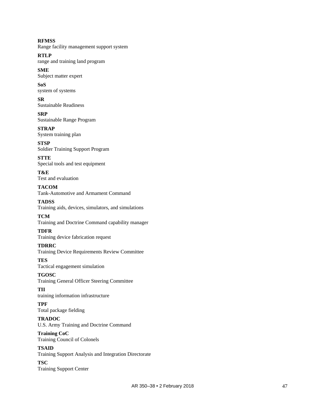# **RFMSS**

Range facility management support system

# **RTLP**

range and training land program

# **SME**

Subject matter expert

# **SoS**

system of systems

# **SR**

Sustainable Readiness

# **SRP**

Sustainable Range Program

# **STRAP**

System training plan

# **STSP**

Soldier Training Support Program

# **STTE**

Special tools and test equipment

#### **T&E** Test and evaluation

# **TACOM** Tank-Automotive and Armament Command

# **TADSS**

Training aids, devices, simulators, and simulations

# **TCM**

Training and Doctrine Command capability manager

# **TDFR**

Training device fabrication request

# **TDRRC**

Training Device Requirements Review Committee

#### **TES** Tactical engagement simulation

**TGOSC** Training General Officer Steering Committee

# **TII**

training information infrastructure

# **TPF**

Total package fielding

# **TRADOC**

U.S. Army Training and Doctrine Command

# Training Council of Colonels

**Training CoC**

**TSAID** Training Support Analysis and Integration Directorate

# **TSC**

Training Support Center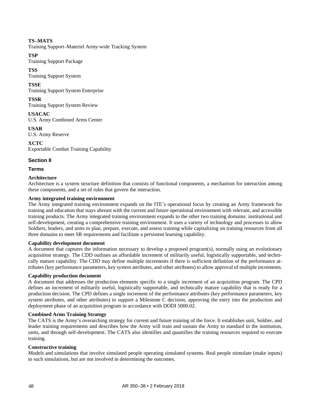# **TS–MATS**

Training Support–Materiel Army-wide Tracking System

# **TSP**

Training Support Package

# **TSS**

Training Support System

# **TSSE**

Training Support System Enterprise

# **TSSR**

Training Support System Review

**USACAC** U.S. Army Combined Arms Center

**USAR** U.S. Army Reserve

**XCTC** Exportable Combat Training Capability

# **Section II**

# **Terms**

# **Architecture**

Architecture is a system structure definition that consists of functional components, a mechanism for interaction among these components, and a set of rules that govern the interaction.

# **Army integrated training environment**

The Army integrated training environment expands on the ITE's operational focus by creating an Army framework for training and education that stays abreast with the current and future operational environment with relevant, and accessible training products. The Army integrated training environment expands to the other two training domains: institutional and self-development, creating a comprehensive training environment. It uses a variety of technology and processes to allow Soldiers, leaders, and units to plan, prepare, execute, and assess training while capitalizing on training resources from all three domains to meet SR requirements and facilitate a persistent learning capability.

# **Capability development document**

A document that captures the information necessary to develop a proposed program(s), normally using an evolutionary acquisition strategy. The CDD outlines an affordable increment of militarily useful, logistically supportable, and technically mature capability. The CDD may define multiple increments if there is sufficient definition of the performance attributes (key performance parameters, key system attributes, and other attributes) to allow approval of multiple increments.

# **Capability production document**

A document that addresses the production elements specific to a single increment of an acquisition program. The CPD defines an increment of militarily useful, logistically supportable, and technically mature capability that is ready for a production decision. The CPD defines a single increment of the performance attributes (key performance parameters, key system attributes, and other attributes) to support a Milestone C decision, approving the entry into the production and deployment phase of an acquisition program in accordance with DODI 5000.02.

# **Combined Arms Training Strategy**

The CATS is the Army's overarching strategy for current and future training of the force. It establishes unit, Soldier, and leader training requirements and describes how the Army will train and sustain the Army to standard in the institution, units, and through self-development. The CATS also identifies and quantifies the training resources required to execute training.

# **Constructive training**

Models and simulations that involve simulated people operating simulated systems. Real people stimulate (make inputs) to such simulations, but are not involved in determining the outcomes.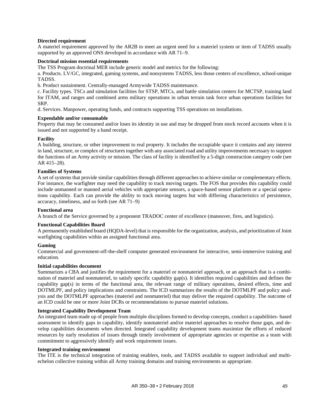# **Directed requirement**

A materiel requirement approved by the AR2B to meet an urgent need for a materiel system or item of TADSS usually supported by an approved ONS developed in accordance with AR 71–9.

#### **Doctrinal mission essential requirements**

The TSS Program doctrinal MER include generic model and metrics for the following:

a. Products. LV/GC, integrated, gaming systems, and nonsystems TADSS, less those centers of excellence, school-unique TADSS.

b. Product sustainment. Centrally-managed Armywide TADSS maintenance.

c. Facility types. TSCs and simulation facilities for STSP, MTCs, and battle simulation centers for MCTSP, training land for ITAM, and ranges and combined arms military operations in urban terrain task force urban operations facilities for SRP.

d. Services. Manpower, operating funds, and contracts supporting TSS operations on installations.

#### **Expendable and/or consumable**

Property that may be consumed and/or loses its identity in use and may be dropped from stock record accounts when it is issued and not supported by a hand receipt.

#### **Facility**

A building, structure, or other improvement to real property. It includes the occupiable space it contains and any interest in land, structure, or complex of structures together with any associated road and utility improvements necessary to support the functions of an Army activity or mission. The class of facility is identified by a 5-digit construction category code (see AR 415–28).

#### **Families of Systems**

A set of systems that provide similar capabilities through different approaches to achieve similar or complementary effects. For instance, the warfighter may need the capability to track moving targets. The FOS that provides this capability could include unmanned or manned aerial vehicles with appropriate sensors, a space-based sensor platform or a special operations capability. Each can provide the ability to track moving targets but with differing characteristics of persistence, accuracy, timeliness, and so forth (see AR 71–9)

# **Functional area**

A branch of the Service governed by a proponent TRADOC center of excellence (maneuver, fires, and logistics).

#### **Functional Capabilities Board**

A permanently established board (HQDA-level) that is responsible for the organization, analysis, and prioritization of Joint warfighting capabilities within an assigned functional area.

#### **Gaming**

Commercial and government-off-the-shelf computer generated environment for interactive, semi-immersive training and education.

#### **Initial capabilities document**

Summarizes a CBA and justifies the requirement for a materiel or nonmateriel approach, or an approach that is a combination of materiel and nonmateriel, to satisfy specific capability gap(s). It identifies required capabilities and defines the capability gap(s) in terms of the functional area, the relevant range of military operations, desired effects, time and DOTMLPF, and policy implications and constraints. The ICD summarizes the results of the DOTMLPF and policy analysis and the DOTMLPF approaches (materiel and nonmateriel) that may deliver the required capability. The outcome of an ICD could be one or more Joint DCRs or recommendations to pursue materiel solutions.

#### **Integrated Capability Development Team**

An integrated team made up of people from multiple disciplines formed to develop concepts, conduct a capabilities- based assessment to identify gaps in capability, identify nonmateriel and/or materiel approaches to resolve those gaps, and develop capabilities documents when directed. Integrated capability development teams maximize the efforts of reduced resources by early resolution of issues through timely involvement of appropriate agencies or expertise as a team with commitment to aggressively identify and work requirement issues.

# **Integrated training environment**

The ITE is the technical integration of training enablers, tools, and TADSS available to support individual and multiechelon collective training within all Army training domains and training environments as appropriate.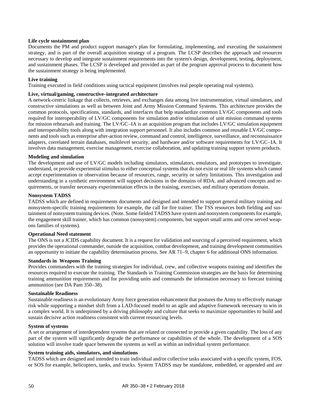# **Life cycle sustainment plan**

Documents the PM and product support manager's plan for formulating, implementing, and executing the sustainment strategy, and is part of the overall acquisition strategy of a program. The LCSP describes the approach and resources necessary to develop and integrate sustainment requirements into the system's design, development, testing, deployment, and sustainment phases. The LCSP is developed and provided as part of the program approval process to document how the sustainment strategy is being implemented.

#### **Live training**

Training executed in field conditions using tactical equipment (involves real people operating real systems).

# **Live, virtual/gaming, constructive–integrated architecture**

A network-centric linkage that collects, retrieves, and exchanges data among live instrumentation, virtual simulators, and constructive simulations as well as between Joint and Army Mission Command Systems. This architecture provides the common protocols, specifications, standards, and interfaces that help standardize common LV/GC components and tools required for interoperability of LV/GC components for simulation and/or stimulation of unit mission command systems for mission rehearsals and training. The LV/GC–IA is an acquisition program that includes LV/GC simulation equipment and interoperability tools along with integration support personnel. It also includes common and reusable LV/GC components and tools such as enterprise after-action review, command and control, intelligence, surveillance, and reconnaissance adapters, correlated terrain databases, multilevel security, and hardware and/or software requirements for LV/GC–IA. It involves data management, exercise management, exercise collaboration, and updating training support system products.

#### **Modeling and simulation**

The development and use of LV/GC models including simulators, stimulators, emulators, and prototypes to investigate, understand, or provide experiential stimulus to either conceptual systems that do not exist or real life systems which cannot accept experimentation or observation because of resources, range, security or safety limitations. This investigation and understanding in a synthetic environment will support decisions in the domains of RDA, and advanced concepts and requirements, or transfer necessary experimentation effects in the training, exercises, and military operations domain.

#### **Nonsystem TADSS**

TADSS which are defined in requirements documents and designed and intended to support general military training and nonsystem-specific training requirements for example, the call for fire trainer. The TSS resources both fielding and sustainment of nonsystem training devices. (Note. Some fielded TADSS have system and nonsystem components for example, the engagement skill trainer, which has common (nonsystem) components, but support small arms and crew served weapons families of systems).

#### **Operational Need statement**

The ONS is not a JCIDS capability document. It is a request for validation and sourcing of a perceived requirement, which provides the operational commander, outside the acquisition, combat development, and training development communities an opportunity to initiate the capability determination process. See AR 71–9, [chapter 6](#page-33-2) for additional ONS information.

# **Standards in Weapons Training**

Provides commanders with the training strategies for individual, crew, and collective weapons training and identifies the resources required to execute the training. The Standards in Training Commission strategies are the basis for determining training ammunition requirements and for providing units and commands the information necessary to forecast training ammunition (see DA Pam 350–38).

# **Sustainable Readiness**

Sustainable readiness is an evolutionary Army force generation enhancement that postures the Army to effectively manage risk while supporting a mindset shift from a LAD-focused model to an agile and adaptive framework necessary to win in a complex world. It is underpinned by a driving philosophy and culture that seeks to maximize opportunities to build and sustain decisive action readiness consistent with current resourcing levels.

# **System of systems**

A set or arrangement of interdependent systems that are related or connected to provide a given capability. The loss of any part of the system will significantly degrade the performance or capabilities of the whole. The development of a SOS solution will involve trade space between the systems as well as within an individual system performance.

#### **System training aids, simulators, and simulations**

TADSS which are designed and intended to train individual and/or collective tasks associated with a specific system, FOS, or SOS for example, helicopters, tanks, and trucks. System TADSS may be standalone, embedded, or appended and are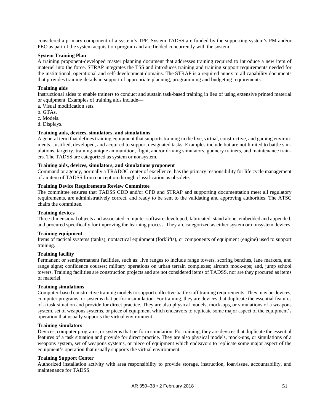considered a primary component of a system's TPF. System TADSS are funded by the supporting system's PM and/or PEO as part of the system acquisition program and are fielded concurrently with the system.

# **System Training Plan**

A training proponent-developed master planning document that addresses training required to introduce a new item of materiel into the force. STRAP integrates the TSS and introduces training and training support requirements needed for the institutional, operational and self-development domains. The STRAP is a required annex to all capability documents that provides training details in support of appropriate planning, programming and budgeting requirements.

#### **Training aids**

Instructional aides to enable trainers to conduct and sustain task-based training in lieu of using extensive printed material or equipment. Examples of training aids include—

- a. Visual modification sets.
- b. GTAs.
- c. Models.
- d. Displays.

# **Training aids, devices, simulators, and simulations**

A general term that defines training equipment that supports training in the live, virtual, constructive, and gaming environments. Justified, developed, and acquired to support designated tasks. Examples include but are not limited to battle simulations, targetry, training-unique ammunition, flight, and/or driving simulators, gunnery trainers, and maintenance trainers. The TADSS are categorized as system or nonsystem.

# **Training aids, devices, simulators, and simulations proponent**

Command or agency, normally a TRADOC center of excellence, has the primary responsibility for life cycle management of an item of TADSS from conception through classification as obsolete.

# **Training Device Requirements Review Committee**

The committee ensures that TADSS CDD and/or CPD and STRAP and supporting documentation meet all regulatory requirements, are administratively correct, and ready to be sent to the validating and approving authorities. The ATSC chairs the committee.

#### **Training devices**

Three-dimensional objects and associated computer software developed, fabricated, stand alone, embedded and appended, and procured specifically for improving the learning process. They are categorized as either system or nonsystem devices.

# **Training equipment**

Items of tactical systems (tanks), nontactical equipment (forklifts), or components of equipment (engine) used to support training.

#### **Training facility**

Permanent or semipermanent facilities, such as: live ranges to include range towers, scoring benches, lane markers, and range signs; confidence courses; military operations on urban terrain complexes; aircraft mock-ups; and, jump school towers. Training facilities are construction projects and are not considered items of TADSS, nor are they procured as items of materiel.

#### **Training simulations**

Computer-based constructive training models to support collective battle staff training requirements. They may be devices, computer programs, or systems that perform simulation. For training, they are devices that duplicate the essential features of a task situation and provide for direct practice. They are also physical models, mock-ups, or simulations of a weapons system, set of weapons systems, or piece of equipment which endeavors to replicate some major aspect of the equipment's operation that usually supports the virtual environment.

#### **Training simulators**

Devices, computer programs, or systems that perform simulation. For training, they are devices that duplicate the essential features of a task situation and provide for direct practice. They are also physical models, mock-ups, or simulations of a weapons system, set of weapons systems, or piece of equipment which endeavors to replicate some major aspect of the equipment's operation that usually supports the virtual environment.

#### **Training Support Center**

Authorized installation activity with area responsibility to provide storage, instruction, loan/issue, accountability, and maintenance for TADSS.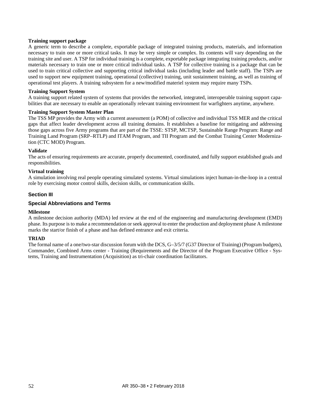# **Training support package**

A generic term to describe a complete, exportable package of integrated training products, materials, and information necessary to train one or more critical tasks. It may be very simple or complex. Its contents will vary depending on the training site and user. A TSP for individual training is a complete, exportable package integrating training products, and/or materials necessary to train one or more critical individual tasks. A TSP for collective training is a package that can be used to train critical collective and supporting critical individual tasks (including leader and battle staff). The TSPs are used to support new equipment training, operational (collective) training, unit sustainment training, as well as training of operational test players. A training subsystem for a new/modified materiel system may require many TSPs.

# **Training Support System**

A training support related system of systems that provides the networked, integrated, interoperable training support capabilities that are necessary to enable an operationally relevant training environment for warfighters anytime, anywhere.

# **Training Support System Master Plan**

The TSS MP provides the Army with a current assessment (a POM) of collective and individual TSS MER and the critical gaps that affect leader development across all training domains. It establishes a baseline for mitigating and addressing those gaps across five Army programs that are part of the TSSE: STSP, MCTSP, Sustainable Range Program: Range and Training Land Program (SRP–RTLP) and ITAM Program, and TII Program and the Combat Training Center Modernization (CTC MOD) Program.

# **Validate**

The acts of ensuring requirements are accurate, properly documented, coordinated, and fully support established goals and responsibilities.

# **Virtual training**

A simulation involving real people operating simulated systems. Virtual simulations inject human-in-the-loop in a central role by exercising motor control skills, decision skills, or communication skills.

# **Section III**

# **Special Abbreviations and Terms**

#### **Milestone**

A milestone decision authority (MDA) led review at the end of the engineering and manufacturing development (EMD) phase. Its purpose is to make a recommendation or seek approval to enter the production and deployment phase A milestone marks the start/or finish of a phase and has defined entrance and exit criteria.

#### **TRIAD**

The formal name of a one/two-star discussion forum with the DCS,  $G-3/5/7$  (G37 Director of Training) (Program budgets), Commander, Combined Arms center - Training (Requirements and the Director of the Program Executive Office - Systems, Training and Instrumentation (Acquisition) as tri-chair coordination facilitators.